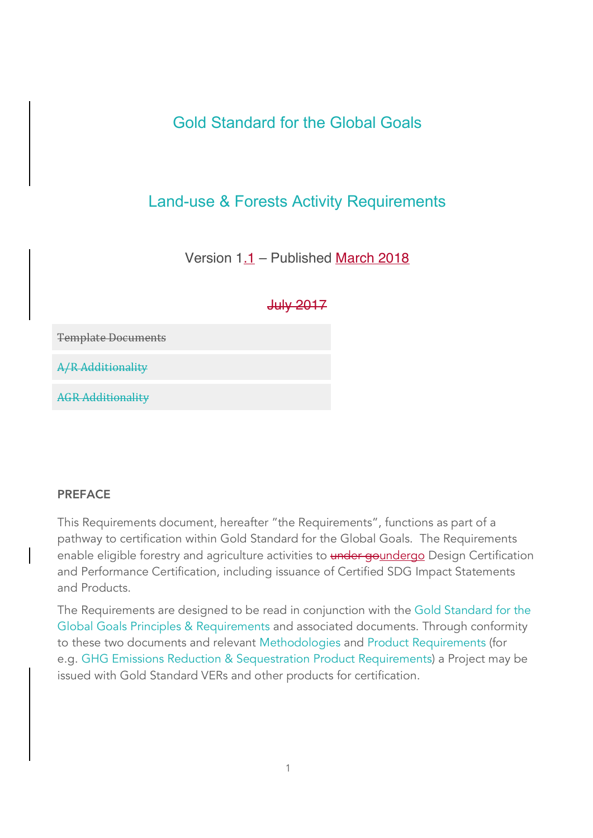# Gold Standard for the Global Goals

# Land-use & Forests Activity Requirements

## Version 1.1 – Published March 2018

### July 2017

**Template Documents** 

A/R Additionality

**AGR Additionality** 

#### PREFACE

This Requirements document, hereafter "the Requirements", functions as part of a pathway to certification within Gold Standard for the Global Goals. The Requirements enable eligible forestry and agriculture activities to under goundergo Design Certification and Performance Certification, including issuance of Certified SDG Impact Statements and Products.

The Requirements are designed to be read in conjunction with the Gold Standard for the Global Goals Principles & Requirements and associated documents. Through conformity to these two documents and relevant Methodologies and Product Requirements (for e.g. GHG Emissions Reduction & Sequestration Product Requirements) a Project may be issued with Gold Standard VERs and other products for certification.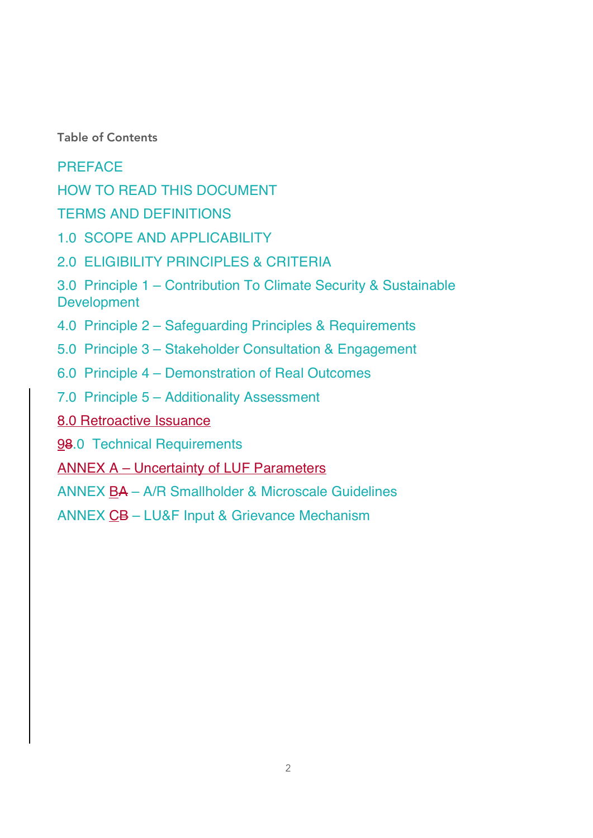Table of Contents

PREFACE

HOW TO READ THIS DOCUMENT

TERMS AND DEFINITIONS

1.0 SCOPE AND APPLICABILITY

2.0 ELIGIBILITY PRINCIPLES & CRITERIA

3.0 Principle 1 – Contribution To Climate Security & Sustainable Development

4.0 Principle 2 – Safeguarding Principles & Requirements

5.0 Principle 3 – Stakeholder Consultation & Engagement

6.0 Principle 4 – Demonstration of Real Outcomes

7.0 Principle 5 – Additionality Assessment

8.0 Retroactive Issuance

98.0 Technical Requirements

ANNEX A – Uncertainty of LUF Parameters

ANNEX BA – A/R Smallholder & Microscale Guidelines

ANNEX CB – LU&F Input & Grievance Mechanism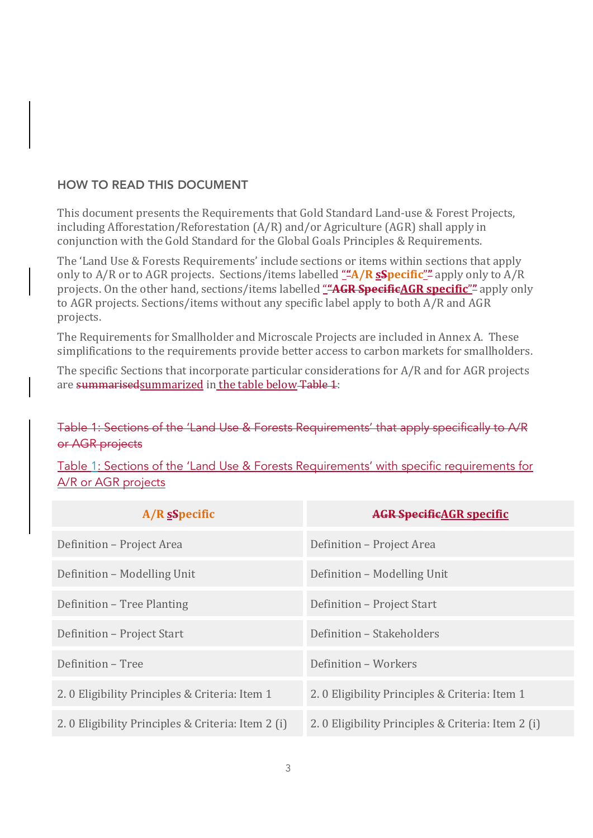#### HOW TO READ THIS DOCUMENT

This document presents the Requirements that Gold Standard Land-use & Forest Projects, including Afforestation/Reforestation  $(A/R)$  and/or Agriculture  $(AGR)$  shall apply in conjunction with the Gold Standard for the Global Goals Principles & Requirements.

The 'Land Use & Forests Requirements' include sections or items within sections that apply only to A/R or to AGR projects. Sections/items labelled "A/R **sSpecific**" apply only to A/R projects. On the other hand, sections/items labelled "**AGR SpecificAGR specific**" apply only to AGR projects. Sections/items without any specific label apply to both A/R and AGR projects.

The Requirements for Smallholder and Microscale Projects are included in Annex A. These simplifications to the requirements provide better access to carbon markets for smallholders.

The specific Sections that incorporate particular considerations for A/R and for AGR projects are summarised summarized in the table below Table 1:

### Table 1: Sections of the 'Land Use & Forests Requirements' that apply specifically to A/R or AGR projects

Table 1: Sections of the 'Land Use & Forests Requirements' with specific requirements for A/R or AGR projects

| $A/R$ sspecific                                   | <b>AGR SpecificAGR specific</b>                   |
|---------------------------------------------------|---------------------------------------------------|
| Definition - Project Area                         | Definition - Project Area                         |
| Definition - Modelling Unit                       | Definition - Modelling Unit                       |
| Definition – Tree Planting                        | Definition - Project Start                        |
| Definition - Project Start                        | Definition - Stakeholders                         |
| Definition - Tree                                 | Definition - Workers                              |
| 2.0 Eligibility Principles & Criteria: Item 1     | 2.0 Eligibility Principles & Criteria: Item 1     |
| 2.0 Eligibility Principles & Criteria: Item 2 (i) | 2.0 Eligibility Principles & Criteria: Item 2 (i) |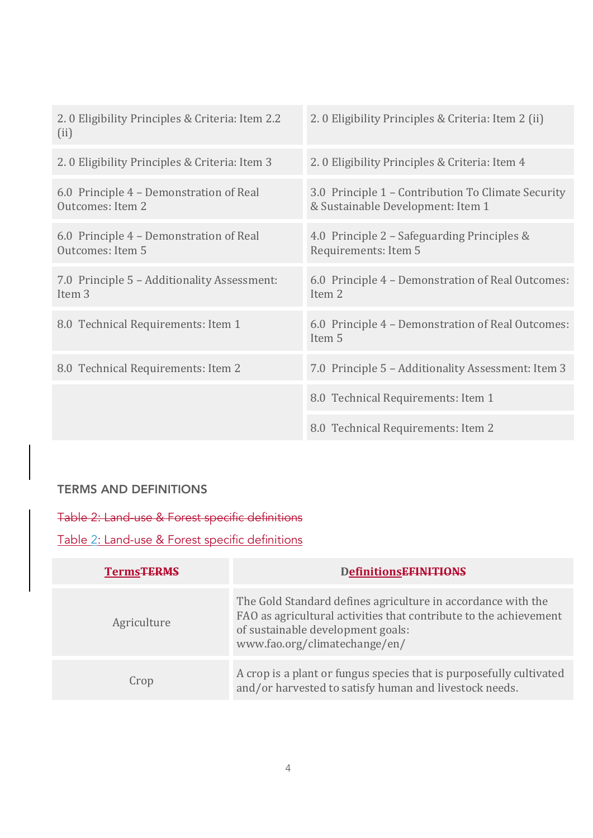| 2.0 Eligibility Principles & Criteria: Item 2 (ii)                                      |
|-----------------------------------------------------------------------------------------|
| 2.0 Eligibility Principles & Criteria: Item 4                                           |
| 3.0 Principle 1 - Contribution To Climate Security<br>& Sustainable Development: Item 1 |
| 4.0 Principle 2 – Safeguarding Principles &<br>Requirements: Item 5                     |
| 6.0 Principle 4 - Demonstration of Real Outcomes:<br>Item <sub>2</sub>                  |
| 6.0 Principle 4 - Demonstration of Real Outcomes:<br>Item 5                             |
| 7.0 Principle 5 - Additionality Assessment: Item 3                                      |
| 8.0 Technical Requirements: Item 1                                                      |
| 8.0 Technical Requirements: Item 2                                                      |
|                                                                                         |

## TERMS AND DEFINITIONS

Table 2: Land-use & Forest specific definitions

Table 2: Land-use & Forest specific definitions

| <b>Terms<del>TERMS</del></b> | <b>DefinitionsEFINITIONS</b>                                                                                                                                                                            |
|------------------------------|---------------------------------------------------------------------------------------------------------------------------------------------------------------------------------------------------------|
| Agriculture                  | The Gold Standard defines agriculture in accordance with the<br>FAO as agricultural activities that contribute to the achievement<br>of sustainable development goals:<br>www.fao.org/climatechange/en/ |
| Crop                         | A crop is a plant or fungus species that is purposefully cultivated<br>and/or harvested to satisfy human and livestock needs.                                                                           |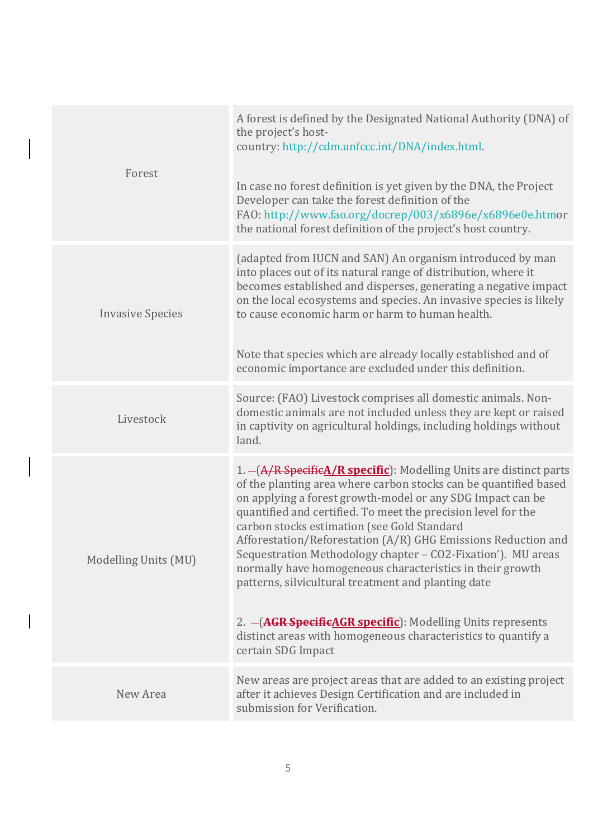| Forest                  | A forest is defined by the Designated National Authority (DNA) of<br>the project's host-<br>country: http://cdm.unfccc.int/DNA/index.html.<br>In case no forest definition is yet given by the DNA, the Project<br>Developer can take the forest definition of the<br>FAO: http://www.fao.org/docrep/003/x6896e/x6896e0e.htmor<br>the national forest definition of the project's host country.                                                                                                                                                                                                                                                                                                                                            |
|-------------------------|--------------------------------------------------------------------------------------------------------------------------------------------------------------------------------------------------------------------------------------------------------------------------------------------------------------------------------------------------------------------------------------------------------------------------------------------------------------------------------------------------------------------------------------------------------------------------------------------------------------------------------------------------------------------------------------------------------------------------------------------|
| <b>Invasive Species</b> | (adapted from IUCN and SAN) An organism introduced by man<br>into places out of its natural range of distribution, where it<br>becomes established and disperses, generating a negative impact<br>on the local ecosystems and species. An invasive species is likely<br>to cause economic harm or harm to human health.<br>Note that species which are already locally established and of<br>economic importance are excluded under this definition.                                                                                                                                                                                                                                                                                       |
| Livestock               | Source: (FAO) Livestock comprises all domestic animals. Non-<br>domestic animals are not included unless they are kept or raised<br>in captivity on agricultural holdings, including holdings without<br>land.                                                                                                                                                                                                                                                                                                                                                                                                                                                                                                                             |
| Modelling Units (MU)    | 1. - (A/R Specific A/R specific): Modelling Units are distinct parts<br>of the planting area where carbon stocks can be quantified based<br>on applying a forest growth-model or any SDG Impact can be<br>quantified and certified. To meet the precision level for the<br>carbon stocks estimation (see Gold Standard<br>Afforestation/Reforestation (A/R) GHG Emissions Reduction and<br>Sequestration Methodology chapter - CO2-Fixation'). MU areas<br>normally have homogeneous characteristics in their growth<br>patterns, silvicultural treatment and planting date<br>2. - ( <b>AGR SpecificAGR specific</b> ): Modelling Units represents<br>distinct areas with homogeneous characteristics to quantify a<br>certain SDG Impact |
| New Area                | New areas are project areas that are added to an existing project<br>after it achieves Design Certification and are included in<br>submission for Verification.                                                                                                                                                                                                                                                                                                                                                                                                                                                                                                                                                                            |

 $\overline{\phantom{a}}$ 

 $\begin{array}{c} \hline \end{array}$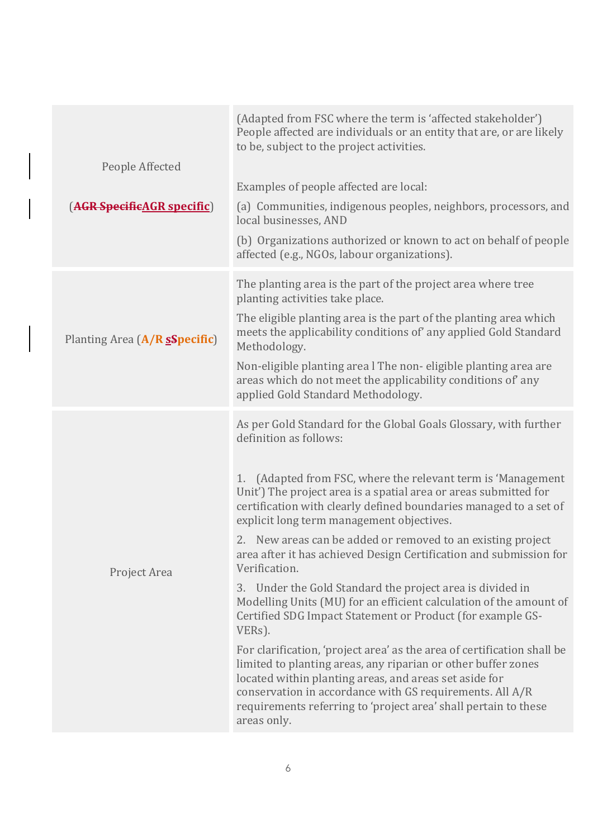| People Affected<br>(AGR SpecificAGR specific) | (Adapted from FSC where the term is 'affected stakeholder')<br>People affected are individuals or an entity that are, or are likely<br>to be, subject to the project activities.<br>Examples of people affected are local:<br>(a) Communities, indigenous peoples, neighbors, processors, and<br>local businesses, AND<br>(b) Organizations authorized or known to act on behalf of people<br>affected (e.g., NGOs, labour organizations).                                                                                                                                                                                                                                                                                                                                                                                                                                                                                                                                                                                                                            |
|-----------------------------------------------|-----------------------------------------------------------------------------------------------------------------------------------------------------------------------------------------------------------------------------------------------------------------------------------------------------------------------------------------------------------------------------------------------------------------------------------------------------------------------------------------------------------------------------------------------------------------------------------------------------------------------------------------------------------------------------------------------------------------------------------------------------------------------------------------------------------------------------------------------------------------------------------------------------------------------------------------------------------------------------------------------------------------------------------------------------------------------|
| Planting Area (A/R sSpecific)                 | The planting area is the part of the project area where tree<br>planting activities take place.<br>The eligible planting area is the part of the planting area which<br>meets the applicability conditions of any applied Gold Standard<br>Methodology.<br>Non-eligible planting area l The non-eligible planting area are<br>areas which do not meet the applicability conditions of any<br>applied Gold Standard Methodology.                                                                                                                                                                                                                                                                                                                                                                                                                                                                                                                                                                                                                                       |
| Project Area                                  | As per Gold Standard for the Global Goals Glossary, with further<br>definition as follows:<br>1. (Adapted from FSC, where the relevant term is 'Management<br>Unit') The project area is a spatial area or areas submitted for<br>certification with clearly defined boundaries managed to a set of<br>explicit long term management objectives.<br>2. New areas can be added or removed to an existing project<br>area after it has achieved Design Certification and submission for<br>Verification.<br>3. Under the Gold Standard the project area is divided in<br>Modelling Units (MU) for an efficient calculation of the amount of<br>Certified SDG Impact Statement or Product (for example GS-<br>VERs).<br>For clarification, 'project area' as the area of certification shall be<br>limited to planting areas, any riparian or other buffer zones<br>located within planting areas, and areas set aside for<br>conservation in accordance with GS requirements. All A/R<br>requirements referring to 'project area' shall pertain to these<br>areas only. |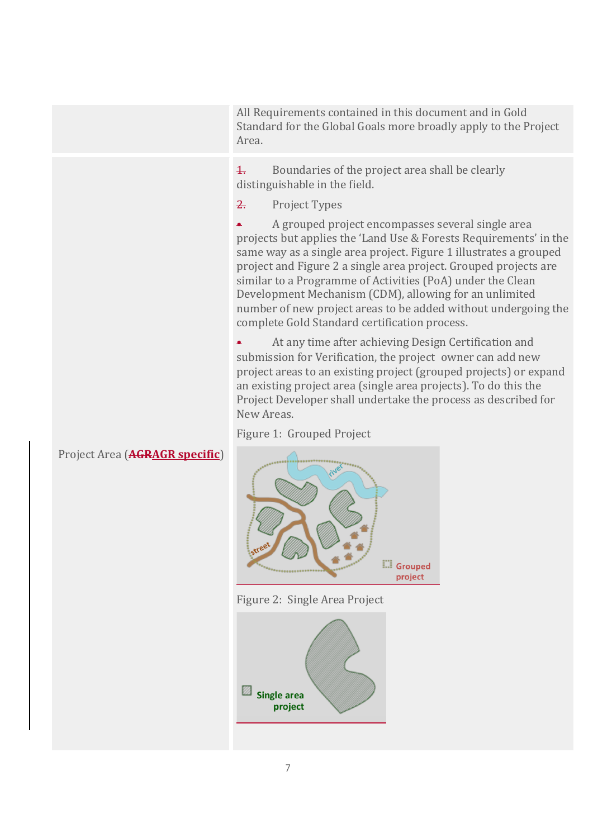All Requirements contained in this document and in Gold Standard for the Global Goals more broadly apply to the Project Area.

 $\frac{1}{1}$  Boundaries of the project area shall be clearly distinguishable in the field.

2. Project Types

• A grouped project encompasses several single area projects but applies the 'Land Use & Forests Requirements' in the same way as a single area project. Figure 1 illustrates a grouped project and Figure 2 a single area project. Grouped projects are similar to a Programme of Activities (PoA) under the Clean Development Mechanism (CDM), allowing for an unlimited number of new project areas to be added without undergoing the complete Gold Standard certification process.

At any time after achieving Design Certification and submission for Verification, the project owner can add new project areas to an existing project (grouped projects) or expand an existing project area (single area projects). To do this the Project Developer shall undertake the process as described for New Areas.

Figure 1: Grouped Project



Figure 2: Single Area Project



## Project Area (**AGRAGR** specific)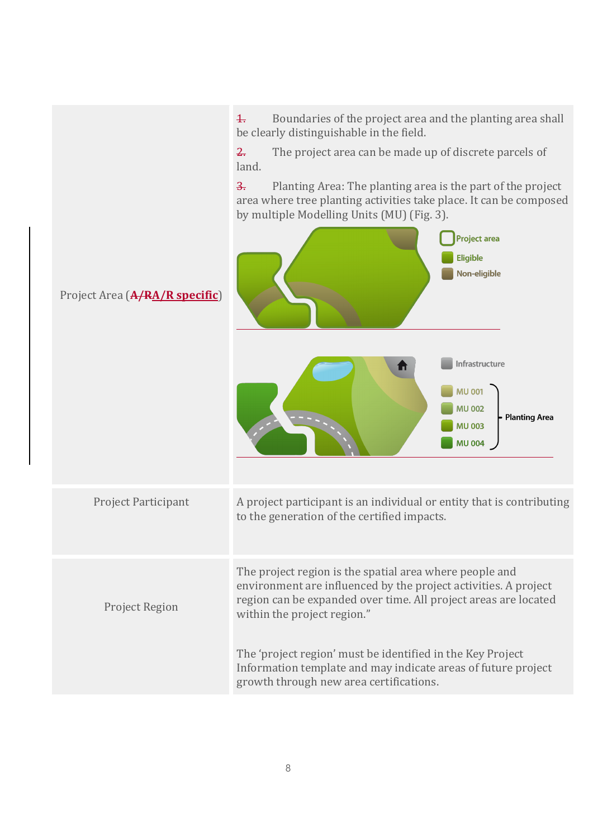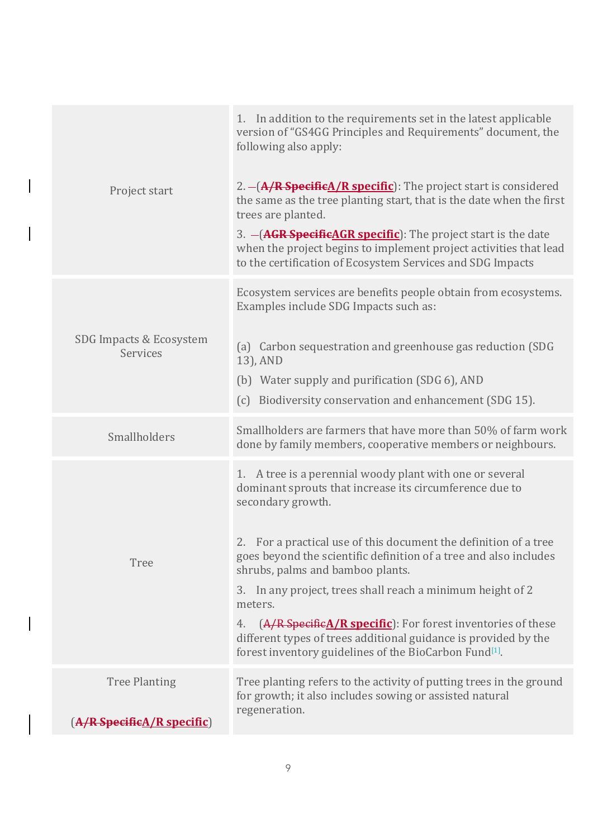| Project start                                           | 1. In addition to the requirements set in the latest applicable<br>version of "GS4GG Principles and Requirements" document, the<br>following also apply:<br>2. - (A/R SpecificA/R specific): The project start is considered<br>the same as the tree planting start, that is the date when the first<br>trees are planted.<br>3. - ( <b>AGR SpecificAGR specific</b> ): The project start is the date<br>when the project begins to implement project activities that lead<br>to the certification of Ecosystem Services and SDG Impacts                                                                          |
|---------------------------------------------------------|-------------------------------------------------------------------------------------------------------------------------------------------------------------------------------------------------------------------------------------------------------------------------------------------------------------------------------------------------------------------------------------------------------------------------------------------------------------------------------------------------------------------------------------------------------------------------------------------------------------------|
| SDG Impacts & Ecosystem<br>Services                     | Ecosystem services are benefits people obtain from ecosystems.<br>Examples include SDG Impacts such as:<br>(a) Carbon sequestration and greenhouse gas reduction (SDG<br>13), AND<br>(b) Water supply and purification (SDG 6), AND<br>(c) Biodiversity conservation and enhancement (SDG 15).                                                                                                                                                                                                                                                                                                                    |
| Smallholders                                            | Smallholders are farmers that have more than 50% of farm work<br>done by family members, cooperative members or neighbours.                                                                                                                                                                                                                                                                                                                                                                                                                                                                                       |
| <b>Tree</b>                                             | 1. A tree is a perennial woody plant with one or several<br>dominant sprouts that increase its circumference due to<br>secondary growth.<br>2. For a practical use of this document the definition of a tree<br>goes beyond the scientific definition of a tree and also includes<br>shrubs, palms and bamboo plants.<br>3. In any project, trees shall reach a minimum height of 2<br>meters.<br>$(A/R$ Specific $A/R$ specific): For forest inventories of these<br>4.<br>different types of trees additional guidance is provided by the<br>forest inventory guidelines of the BioCarbon Fund <sup>[1]</sup> . |
| <b>Tree Planting</b><br>$(A/R$ Specific $A/R$ specific) | Tree planting refers to the activity of putting trees in the ground<br>for growth; it also includes sowing or assisted natural<br>regeneration.                                                                                                                                                                                                                                                                                                                                                                                                                                                                   |

 $\overline{\phantom{a}}$ 

 $\begin{array}{c} \hline \end{array}$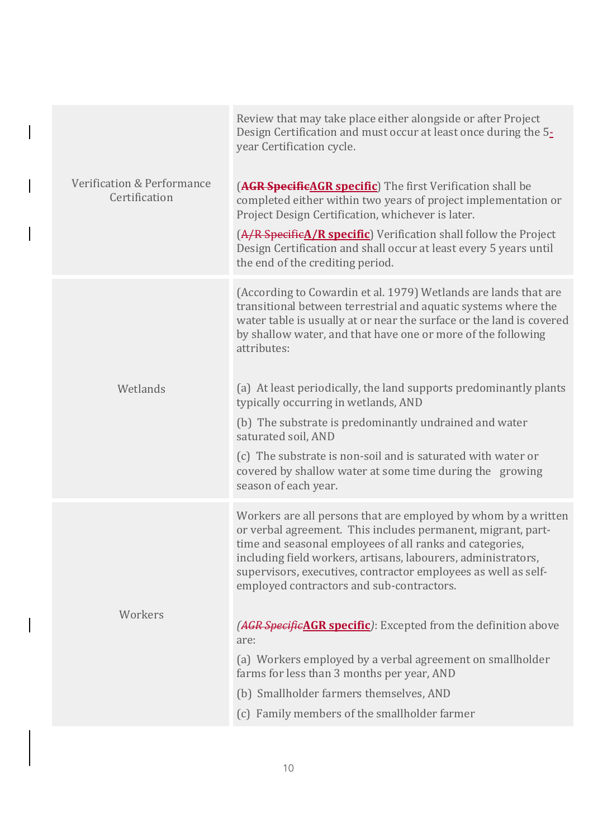| Verification & Performance<br>Certification | Review that may take place either alongside or after Project<br>Design Certification and must occur at least once during the 5-<br>year Certification cycle.<br>(AGR SpecificAGR specific) The first Verification shall be<br>completed either within two years of project implementation or<br>Project Design Certification, whichever is later.<br>(A/R SpecificA/R specific) Verification shall follow the Project<br>Design Certification and shall occur at least every 5 years until<br>the end of the crediting period.                                                                                                                             |
|---------------------------------------------|------------------------------------------------------------------------------------------------------------------------------------------------------------------------------------------------------------------------------------------------------------------------------------------------------------------------------------------------------------------------------------------------------------------------------------------------------------------------------------------------------------------------------------------------------------------------------------------------------------------------------------------------------------|
| Wetlands                                    | (According to Cowardin et al. 1979) Wetlands are lands that are<br>transitional between terrestrial and aquatic systems where the<br>water table is usually at or near the surface or the land is covered<br>by shallow water, and that have one or more of the following<br>attributes:<br>(a) At least periodically, the land supports predominantly plants<br>typically occurring in wetlands, AND<br>(b) The substrate is predominantly undrained and water<br>saturated soil, AND<br>(c) The substrate is non-soil and is saturated with water or<br>covered by shallow water at some time during the growing<br>season of each year.                 |
| Workers                                     | Workers are all persons that are employed by whom by a written<br>or verbal agreement. This includes permanent, migrant, part-<br>time and seasonal employees of all ranks and categories,<br>including field workers, artisans, labourers, administrators,<br>supervisors, executives, contractor employees as well as self-<br>employed contractors and sub-contractors.<br>(AGR SpecificAGR specific): Excepted from the definition above<br>are:<br>(a) Workers employed by a verbal agreement on smallholder<br>farms for less than 3 months per year, AND<br>(b) Smallholder farmers themselves, AND<br>(c) Family members of the smallholder farmer |

 $\begin{array}{c} \hline \end{array}$ 

 $\overline{\phantom{a}}$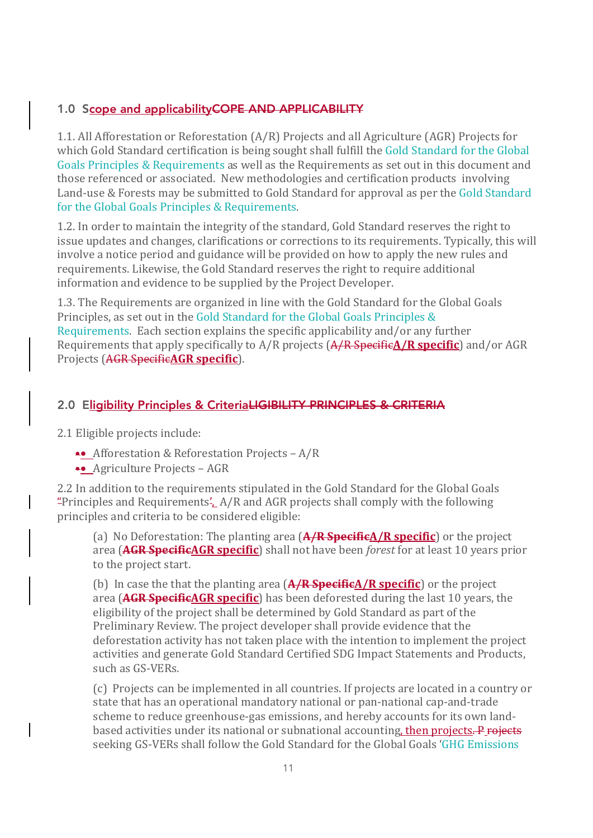### 1.0 Scope and applicability COPE AND APPLICABILITY

1.1. All Afforestation or Reforestation (A/R) Projects and all Agriculture (AGR) Projects for which Gold Standard certification is being sought shall fulfill the Gold Standard for the Global Goals Principles & Requirements as well as the Requirements as set out in this document and those referenced or associated. New methodologies and certification products involving Land-use & Forests may be submitted to Gold Standard for approval as per the Gold Standard for the Global Goals Principles & Requirements.

1.2. In order to maintain the integrity of the standard, Gold Standard reserves the right to issue updates and changes, clarifications or corrections to its requirements. Typically, this will involve a notice period and guidance will be provided on how to apply the new rules and requirements. Likewise, the Gold Standard reserves the right to require additional information and evidence to be supplied by the Project Developer.

1.3. The Requirements are organized in line with the Gold Standard for the Global Goals Principles, as set out in the Gold Standard for the Global Goals Principles & Requirements. Each section explains the specific applicability and/or any further Requirements that apply specifically to A/R projects  $(A/R$  Specific $A/R$  specific) and/or AGR Projects (AGR SpecificAGR specific).

#### 2.0 Eligibility Principles & CriteriaLIGIBILITY PRINCIPLES & CRITERIA

2.1 Eligible projects include:

- Afforestation & Reforestation Projects A/R
- •• Agriculture Projects AGR

2.2 In addition to the requirements stipulated in the Gold Standard for the Global Goals "Principles and Requirements',  $A/R$  and AGR projects shall comply with the following principles and criteria to be considered eligible:

(a) No Deforestation: The planting area (**A/R Specific**) **R** specific) or the project area (**AGR SpecificAGR specific**) shall not have been *forest* for at least 10 years prior to the project start.

(b) In case the that the planting area  $(A/R \text{ specific} / R \text{ specific})$  or the project area (**AGR** SpecificAGR specific) has been deforested during the last 10 years, the eligibility of the project shall be determined by Gold Standard as part of the Preliminary Review. The project developer shall provide evidence that the deforestation activity has not taken place with the intention to implement the project activities and generate Gold Standard Certified SDG Impact Statements and Products, such as GS-VERs.

(c) Projects can be implemented in all countries. If projects are located in a country or state that has an operational mandatory national or pan-national cap-and-trade scheme to reduce greenhouse-gas emissions, and hereby accounts for its own landbased activities under its national or subnational accounting, then projects. P rojects seeking GS-VERs shall follow the Gold Standard for the Global Goals 'GHG Emissions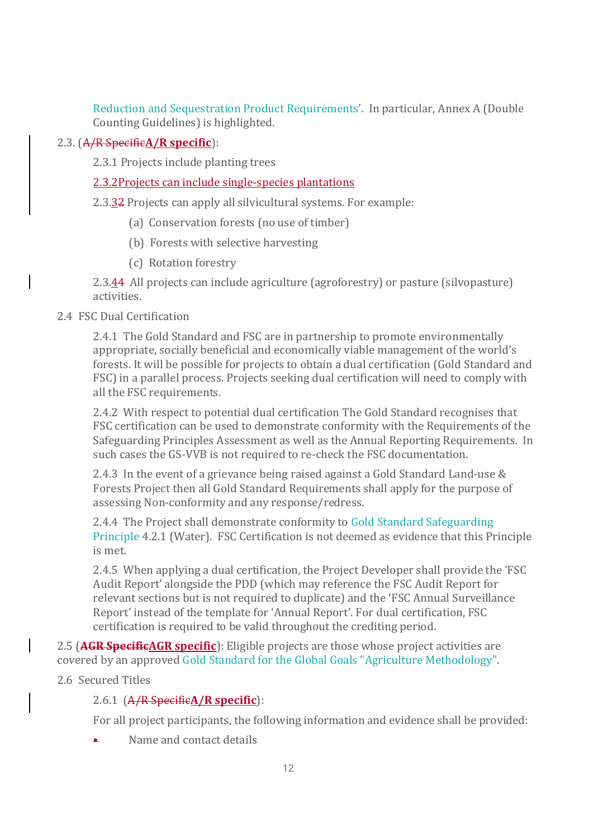Reduction and Sequestration Product Requirements'. In particular, Annex A (Double Counting Guidelines) is highlighted.

### 2.3. (A/R Specific**A/R specific**):

2.3.1 Projects include planting trees

#### 2.3.2Projects can include single-species plantations

2.3.32 Projects can apply all silvicultural systems. For example:

- (a) Conservation forests (no use of timber)
- (b) Forests with selective harvesting
- (c) Rotation forestry

2.3.44 All projects can include agriculture (agroforestry) or pasture (silvopasture) activities.

#### 2.4 FSC Dual Certification

2.4.1 The Gold Standard and FSC are in partnership to promote environmentally appropriate, socially beneficial and economically viable management of the world's forests. It will be possible for projects to obtain a dual certification (Gold Standard and FSC) in a parallel process. Projects seeking dual certification will need to comply with all the FSC requirements.

2.4.2 With respect to potential dual certification The Gold Standard recognises that FSC certification can be used to demonstrate conformity with the Requirements of the Safeguarding Principles Assessment as well as the Annual Reporting Requirements. In such cases the GS-VVB is not required to re-check the FSC documentation.

2.4.3 In the event of a grievance being raised against a Gold Standard Land-use  $\&$ Forests Project then all Gold Standard Requirements shall apply for the purpose of assessing Non-conformity and any response/redress.

2.4.4 The Project shall demonstrate conformity to Gold Standard Safeguarding Principle 4.2.1 (Water). FSC Certification is not deemed as evidence that this Principle is met.

2.4.5 When applying a dual certification, the Project Developer shall provide the 'FSC Audit Report' alongside the PDD (which may reference the FSC Audit Report for relevant sections but is not required to duplicate) and the 'FSC Annual Surveillance Report' instead of the template for 'Annual Report'. For dual certification, FSC certification is required to be valid throughout the crediting period.

2.5 (**AGR SpecificAGR specific**): Eligible projects are those whose project activities are covered by an approved Gold Standard for the Global Goals "Agriculture Methodology".

2.6 Secured Titles

### 2.6.1 (A/R SpecificA/R specific):

For all project participants, the following information and evidence shall be provided:

Name and contact details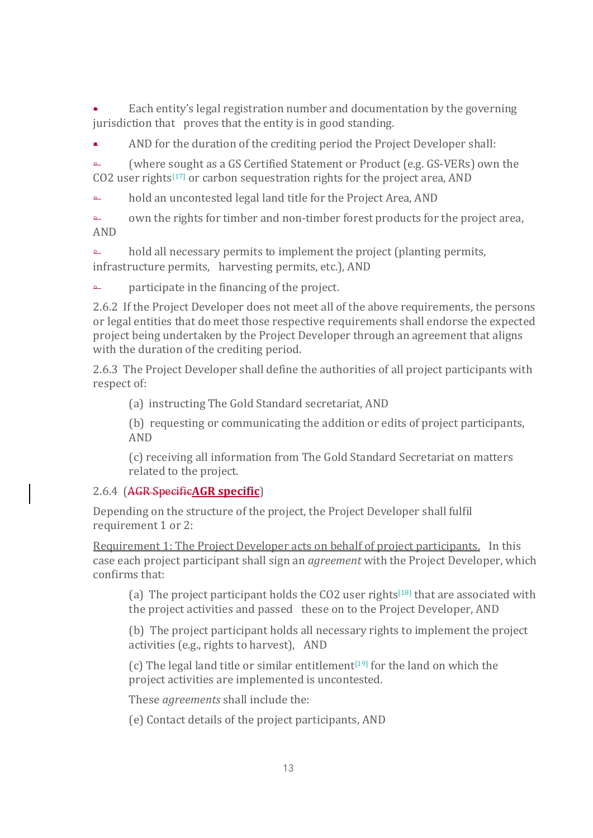Each entity's legal registration number and documentation by the governing jurisdiction that proves that the entity is in good standing.

AND for the duration of the crediting period the Project Developer shall:

≏ (where sought as a GS Certified Statement or Product (e.g. GS-VERs) own the CO2 user rights<sup>[17]</sup> or carbon sequestration rights for the project area, AND

≏ hold an uncontested legal land title for the Project Area, AND

 $\rightarrow$  own the rights for timber and non-timber forest products for the project area, AND

**△** hold all necessary permits to implement the project (planting permits, infrastructure permits, harvesting permits, etc.), AND

 $\overline{a}$  participate in the financing of the project.

2.6.2 If the Project Developer does not meet all of the above requirements, the persons or legal entities that do meet those respective requirements shall endorse the expected project being undertaken by the Project Developer through an agreement that aligns with the duration of the crediting period.

2.6.3 The Project Developer shall define the authorities of all project participants with respect of:

(a) instructing The Gold Standard secretariat, AND

(b) requesting or communicating the addition or edits of project participants, AND

(c) receiving all information from The Gold Standard Secretariat on matters related to the project.

### 2.6.4 (AGR Specific**AGR specific**)

Depending on the structure of the project, the Project Developer shall fulfil requirement 1 or 2:

Requirement 1: The Project Developer acts on behalf of project participants. In this case each project participant shall sign an *agreement* with the Project Developer, which confirms that:

(a) The project participant holds the  $CO2$  user rights<sup>[18]</sup> that are associated with the project activities and passed these on to the Project Developer, AND

(b) The project participant holds all necessary rights to implement the project activities (e.g., rights to harvest), AND

(c) The legal land title or similar entitlement<sup>[19]</sup> for the land on which the project activities are implemented is uncontested.

These *agreements* shall include the:

(e) Contact details of the project participants, AND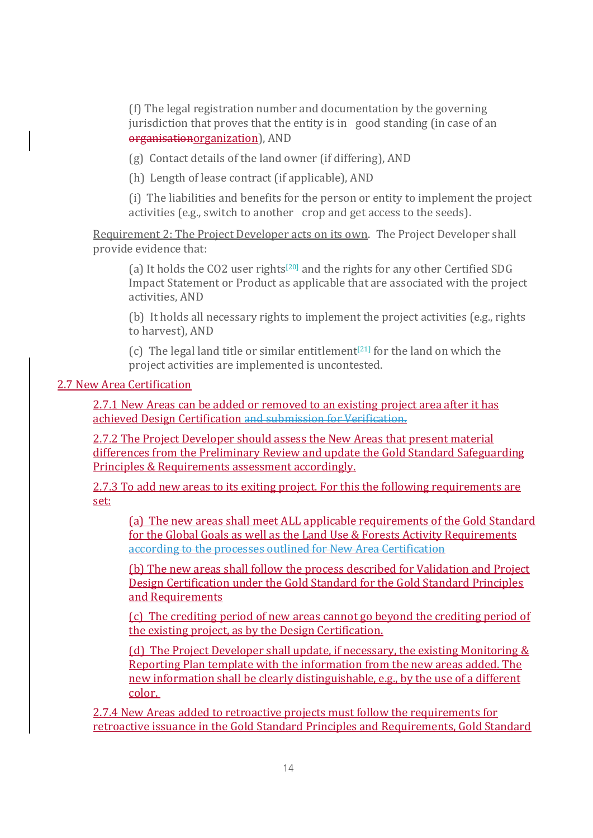(f) The legal registration number and documentation by the governing jurisdiction that proves that the entity is in good standing (in case of an organisationorganization), AND

 $(g)$  Contact details of the land owner (if differing), AND

(h) Length of lease contract (if applicable), AND

(i) The liabilities and benefits for the person or entity to implement the project activities (e.g., switch to another crop and get access to the seeds).

Requirement 2: The Project Developer acts on its own. The Project Developer shall provide evidence that:

(a) It holds the CO2 user rights<sup>[20]</sup> and the rights for any other Certified SDG Impact Statement or Product as applicable that are associated with the project activities, AND

(b) It holds all necessary rights to implement the project activities (e.g., rights to harvest), AND

(c) The legal land title or similar entitlement<sup>[21]</sup> for the land on which the project activities are implemented is uncontested.

#### 2.7 New Area Certification

2.7.1 New Areas can be added or removed to an existing project area after it has achieved Design Certification and submission for Verification.

2.7.2 The Project Developer should assess the New Areas that present material differences from the Preliminary Review and update the Gold Standard Safeguarding Principles & Requirements assessment accordingly.

2.7.3 To add new areas to its exiting project. For this the following requirements are set:

(a) The new areas shall meet ALL applicable requirements of the Gold Standard for the Global Goals as well as the Land Use & Forests Activity Requirements according to the processes outlined for New Area Certification

(b) The new areas shall follow the process described for Validation and Project Design Certification under the Gold Standard for the Gold Standard Principles and Requirements

(c) The crediting period of new areas cannot go beyond the crediting period of the existing project, as by the Design Certification.

(d) The Project Developer shall update, if necessary, the existing Monitoring  $&$ Reporting Plan template with the information from the new areas added. The new information shall be clearly distinguishable, e.g., by the use of a different color.

2.7.4 New Areas added to retroactive projects must follow the requirements for retroactive issuance in the Gold Standard Principles and Requirements, Gold Standard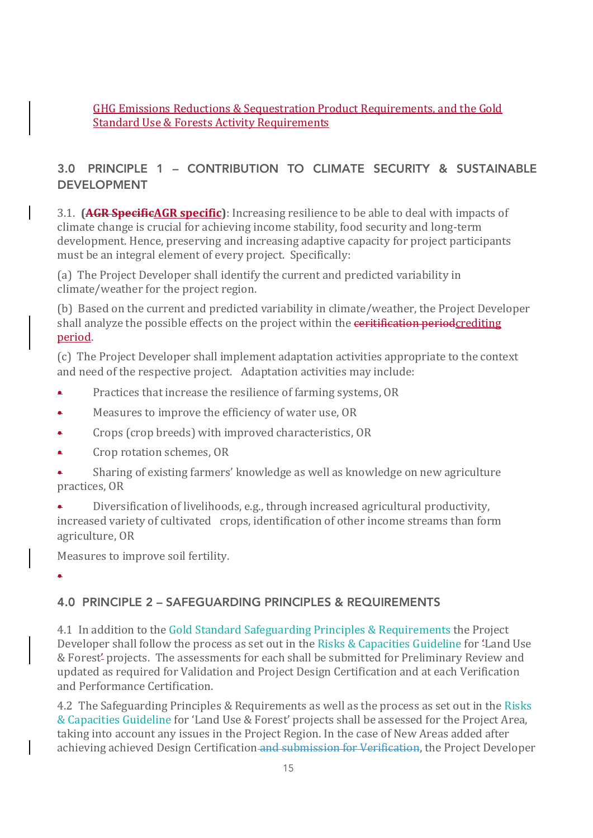GHG Emissions Reductions & Sequestration Product Requirements, and the Gold **Standard Use & Forests Activity Requirements** 

## 3.0 PRINCIPLE 1 – CONTRIBUTION TO CLIMATE SECURITY & SUSTAINABLE DEVELOPMENT

3.1. **(AGR SpecificAGR specific)**: Increasing resilience to be able to deal with impacts of climate change is crucial for achieving income stability, food security and long-term development. Hence, preserving and increasing adaptive capacity for project participants must be an integral element of every project. Specifically:

(a) The Project Developer shall identify the current and predicted variability in climate/weather for the project region.

(b) Based on the current and predicted variability in climate/weather, the Project Developer shall analyze the possible effects on the project within the ceritification periodcrediting period.

(c) The Project Developer shall implement adaptation activities appropriate to the context and need of the respective project. Adaptation activities may include:

- Practices that increase the resilience of farming systems, OR
- $\bullet$  Measures to improve the efficiency of water use, OR
- Crops (crop breeds) with improved characteristics, OR
- Crop rotation schemes, OR
- Sharing of existing farmers' knowledge as well as knowledge on new agriculture practices, OR
- Diversification of livelihoods, e.g., through increased agricultural productivity, increased variety of cultivated crops, identification of other income streams than form agriculture, OR

Measures to improve soil fertility.

•

### 4.0 PRINCIPLE 2 – SAFEGUARDING PRINCIPLES & REQUIREMENTS

4.1 In addition to the Gold Standard Safeguarding Principles & Requirements the Project Developer shall follow the process as set out in the Risks & Capacities Guideline for 'Land Use & Forest' projects. The assessments for each shall be submitted for Preliminary Review and updated as required for Validation and Project Design Certification and at each Verification and Performance Certification.

4.2 The Safeguarding Principles & Requirements as well as the process as set out in the Risks & Capacities Guideline for 'Land Use & Forest' projects shall be assessed for the Project Area, taking into account any issues in the Project Region. In the case of New Areas added after achieving achieved Design Certification and submission for Verification, the Project Developer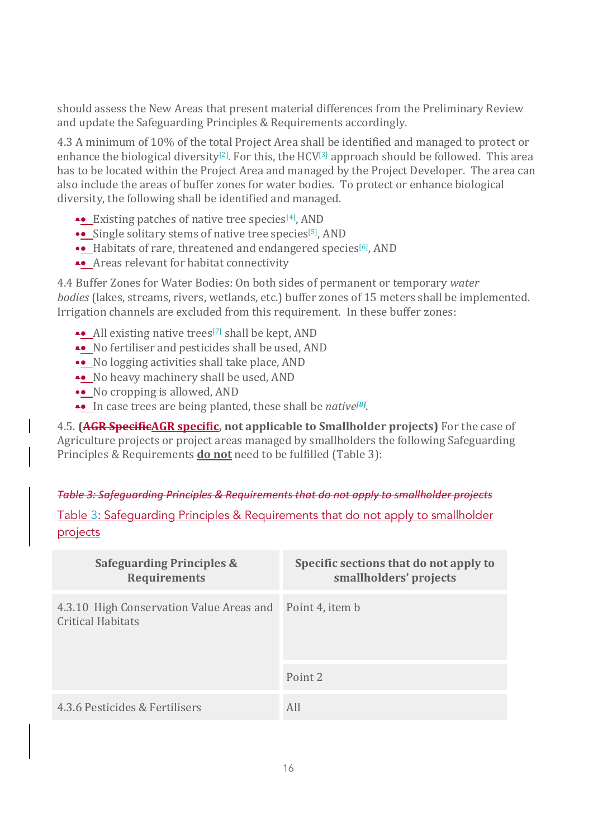should assess the New Areas that present material differences from the Preliminary Review and update the Safeguarding Principles & Requirements accordingly.

4.3 A minimum of 10% of the total Project Area shall be identified and managed to protect or enhance the biological diversity<sup>[2]</sup>. For this, the HCV<sup>[3]</sup> approach should be followed. This area has to be located within the Project Area and managed by the Project Developer. The area can also include the areas of buffer zones for water bodies. To protect or enhance biological diversity, the following shall be identified and managed.

- •• Existing patches of native tree species $[4]$ , AND
- •• Single solitary stems of native tree species<sup>[5]</sup>, AND
- •• Habitats of rare, threatened and endangered species<sup>[6]</sup>, AND
- Areas relevant for habitat connectivity

4.4 Buffer Zones for Water Bodies: On both sides of permanent or temporary *water bodies* (lakes, streams, rivers, wetlands, etc.) buffer zones of 15 meters shall be implemented. Irrigation channels are excluded from this requirement. In these buffer zones:

- $\bullet\bullet$  All existing native trees<sup>[7]</sup> shall be kept, AND
- •• No fertiliser and pesticides shall be used, AND
- •• No logging activities shall take place, AND
- No heavy machinery shall be used, AND
- •• No cropping is allowed, AND
- •• In case trees are being planted, these shall be *native*<sup>[8]</sup>.

4.5. **(AGR SpecificAGR specific, not applicable to Smallholder projects)** For the case of Agriculture projects or project areas managed by smallholders the following Safeguarding Principles & Requirements **do not** need to be fulfilled (Table 3):

#### *Table 3: Safeguarding Principles & Requirements that do not apply to smallholder projects*

Table 3: Safeguarding Principles & Requirements that do not apply to smallholder projects

| <b>Safeguarding Principles &amp;</b><br><b>Requirements</b>          | Specific sections that do not apply to<br>smallholders' projects |
|----------------------------------------------------------------------|------------------------------------------------------------------|
| 4.3.10 High Conservation Value Areas and<br><b>Critical Habitats</b> | Point 4, item b                                                  |
|                                                                      | Point 2                                                          |
| 4.3.6 Pesticides & Fertilisers                                       | All                                                              |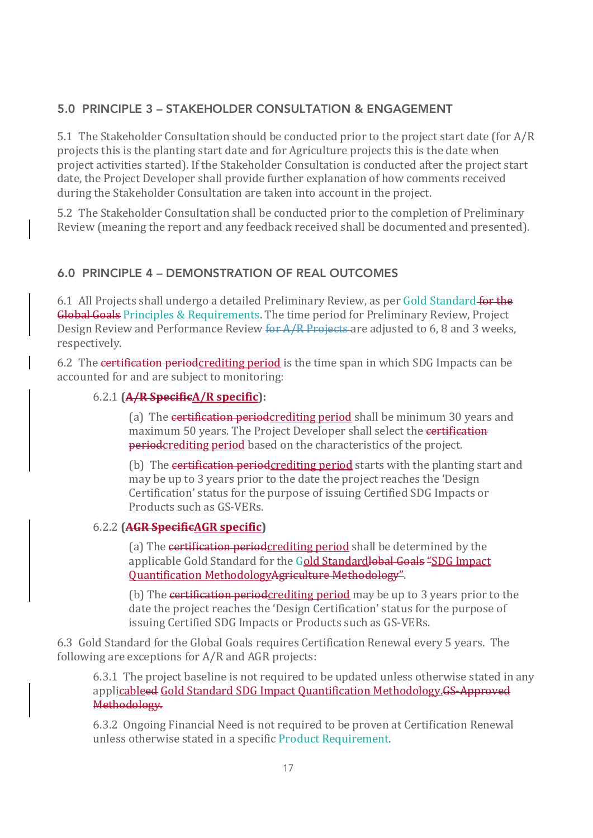### 5.0 PRINCIPLE 3 – STAKEHOLDER CONSULTATION & ENGAGEMENT

5.1 The Stakeholder Consultation should be conducted prior to the project start date (for  $A/R$ ) projects this is the planting start date and for Agriculture projects this is the date when project activities started). If the Stakeholder Consultation is conducted after the project start date, the Project Developer shall provide further explanation of how comments received during the Stakeholder Consultation are taken into account in the project.

5.2 The Stakeholder Consultation shall be conducted prior to the completion of Preliminary Review (meaning the report and any feedback received shall be documented and presented).

### 6.0 PRINCIPLE 4 – DEMONSTRATION OF REAL OUTCOMES

6.1 All Projects shall undergo a detailed Preliminary Review, as per Gold Standard for the Global Goals Principles & Requirements. The time period for Preliminary Review, Project Design Review and Performance Review for A/R Projects are adjusted to 6, 8 and 3 weeks, respectively.

6.2 The certification periodcrediting period is the time span in which SDG Impacts can be accounted for and are subject to monitoring:

#### 6.2.1 **(A/R SpecificA/R specific):**

(a) The certification period crediting period shall be minimum 30 years and maximum 50 years. The Project Developer shall select the certification periodcrediting period based on the characteristics of the project.

(b) The certification periodcrediting period starts with the planting start and may be up to 3 years prior to the date the project reaches the 'Design Certification' status for the purpose of issuing Certified SDG Impacts or Products such as GS-VERs.

### 6.2.2 **(AGR SpecificAGR specific)**

(a) The certification periodcrediting period shall be determined by the applicable Gold Standard for the Gold Standardlobal Goals "SDG Impact Ouantification MethodologyAgriculture Methodology".

(b) The certification periodcrediting period may be up to 3 years prior to the date the project reaches the 'Design Certification' status for the purpose of issuing Certified SDG Impacts or Products such as GS-VERs.

6.3 Gold Standard for the Global Goals requires Certification Renewal every 5 years. The following are exceptions for  $A/R$  and  $AGR$  projects:

6.3.1 The project baseline is not required to be updated unless otherwise stated in any applicableed Gold Standard SDG Impact Quantification Methodology.GS-Approved Methodology.

6.3.2 Ongoing Financial Need is not required to be proven at Certification Renewal unless otherwise stated in a specific Product Requirement.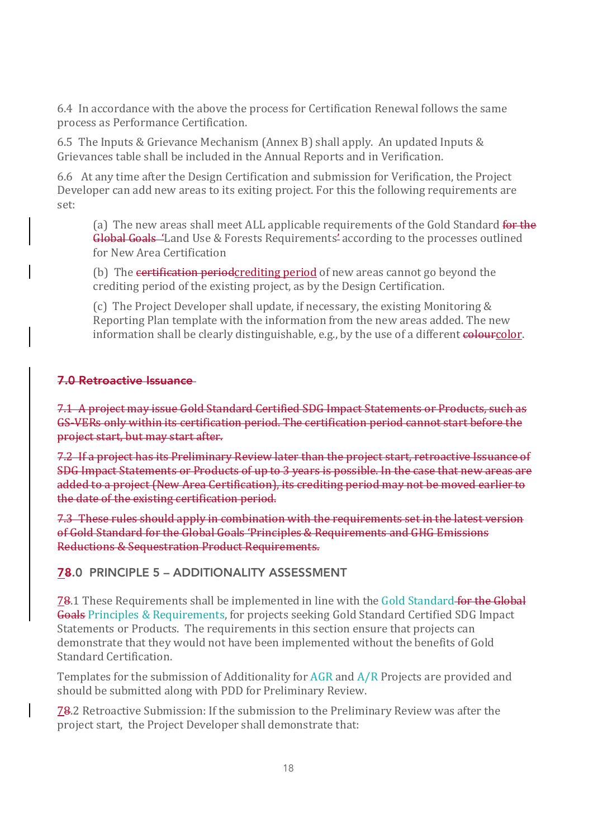6.4 In accordance with the above the process for Certification Renewal follows the same process as Performance Certification.

6.5 The Inputs & Grievance Mechanism (Annex B) shall apply. An updated Inputs  $\&$ Grievances table shall be included in the Annual Reports and in Verification.

6.6 At any time after the Design Certification and submission for Verification, the Project Developer can add new areas to its exiting project. For this the following requirements are set:

(a) The new areas shall meet ALL applicable requirements of the Gold Standard for the Global Goals 'Land Use & Forests Requirements' according to the processes outlined for New Area Certification

(b) The certification period crediting period of new areas cannot go beyond the crediting period of the existing project, as by the Design Certification.

(c) The Project Developer shall update, if necessary, the existing Monitoring & Reporting Plan template with the information from the new areas added. The new information shall be clearly distinguishable, e.g., by the use of a different colourcolor.

#### 7.0 Retroactive Issuance

7.1 A project may issue Gold Standard Certified SDG Impact Statements or Products, such as GS-VERs only within its certification period. The certification period cannot start before the project start, but may start after.

7.2 If a project has its Preliminary Review later than the project start, retroactive Issuance of SDG Impact Statements or Products of up to 3 years is possible. In the case that new areas are added to a project (New Area Certification), its crediting period may not be moved earlier to the date of the existing certification period.

7.3 These rules should apply in combination with the requirements set in the latest version of Gold Standard for the Global Goals 'Principles & Requirements and GHG Emissions Reductions & Sequestration Product Requirements.

#### 78.0 PRINCIPLE 5 – ADDITIONALITY ASSESSMENT

**78.1** These Requirements shall be implemented in line with the Gold Standard for the Global Goals Principles & Requirements, for projects seeking Gold Standard Certified SDG Impact Statements or Products. The requirements in this section ensure that projects can demonstrate that they would not have been implemented without the benefits of Gold Standard Certification.

Templates for the submission of Additionality for  $AGR$  and  $A/R$  Projects are provided and should be submitted along with PDD for Preliminary Review.

78.2 Retroactive Submission: If the submission to the Preliminary Review was after the project start, the Project Developer shall demonstrate that: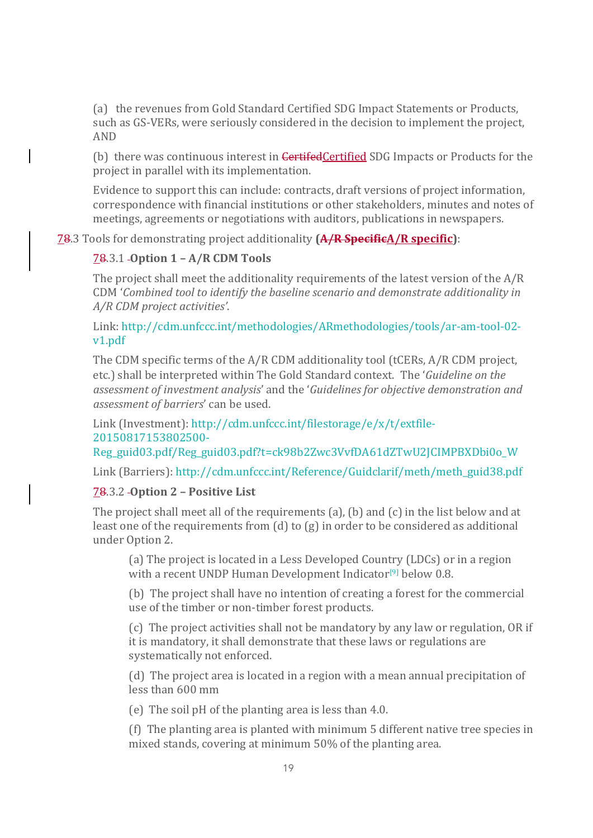(a) the revenues from Gold Standard Certified SDG Impact Statements or Products, such as GS-VERs, were seriously considered in the decision to implement the project, AND

(b) there was continuous interest in **CertifedCertified** SDG Impacts or Products for the project in parallel with its implementation.

Evidence to support this can include: contracts, draft versions of project information, correspondence with financial institutions or other stakeholders, minutes and notes of meetings, agreements or negotiations with auditors, publications in newspapers.

**78.3** Tools for demonstrating project additionality (A/R SpecificA/R specific):

#### 78.3.1 **Option 1 – A/R CDM Tools**

The project shall meet the additionality requirements of the latest version of the  $A/R$ CDM 'Combined tool to identify the baseline scenario and demonstrate additionality in *A/R CDM project activities'*.

Link: http://cdm.unfccc.int/methodologies/ARmethodologies/tools/ar-am-tool-02 v1.pdf

The CDM specific terms of the  $A/R$  CDM additionality tool (tCERs,  $A/R$  CDM project, etc.) shall be interpreted within The Gold Standard context. The '*Guideline on the* assessment of investment analysis' and the '*Guidelines for objective demonstration and assessment of barriers'* can be used.

Link (Investment): http://cdm.unfccc.int/filestorage/e/x/t/extfile-20150817153802500-

Reg\_guid03.pdf/Reg\_guid03.pdf?t=ck98b2Zwc3VvfDA61dZTwU2JCIMPBXDbi0o\_W

Link (Barriers): http://cdm.unfccc.int/Reference/Guidclarif/meth/meth\_guid38.pdf

#### 78.3.2 **Option 2 – Positive List**

The project shall meet all of the requirements  $(a)$ ,  $(b)$  and  $(c)$  in the list below and at least one of the requirements from  $(d)$  to  $(g)$  in order to be considered as additional under Option 2.

(a) The project is located in a Less Developed Country (LDCs) or in a region with a recent UNDP Human Development Indicator<sup>[9]</sup> below 0.8.

(b) The project shall have no intention of creating a forest for the commercial use of the timber or non-timber forest products.

(c) The project activities shall not be mandatory by any law or regulation, OR if it is mandatory, it shall demonstrate that these laws or regulations are systematically not enforced.

(d) The project area is located in a region with a mean annual precipitation of less than 600 mm

(e) The soil pH of the planting area is less than 4.0.

(f) The planting area is planted with minimum  $5$  different native tree species in mixed stands, covering at minimum 50% of the planting area.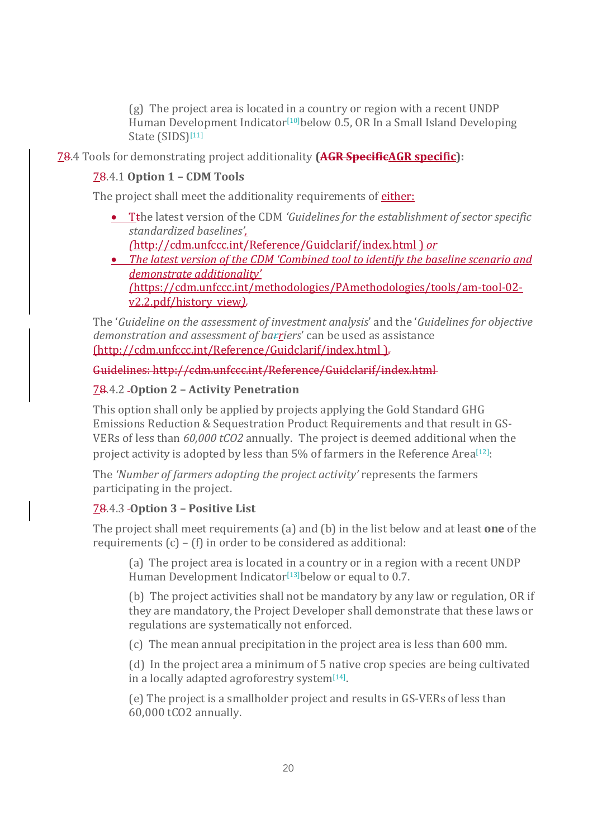(g) The project area is located in a country or region with a recent UNDP Human Development Indicator<sup>[10]</sup>below 0.5, OR In a Small Island Developing State (SIDS)<sup>[11]</sup>

**78.4** Tools for demonstrating project additionality (AGR SpecificAGR specific):

#### 78.4.1 **Option 1 – CDM Tools**

The project shall meet the additionality requirements of either:

- T<sub>the latest version of the CDM *'Guidelines for the establishment of sector specific*</sub> *standardized baselines',*
	- *(*http://cdm.unfccc.int/Reference/Guidclarif/index.html ) *or*
- *The latest version of the CDM 'Combined tool to identify the baseline scenario and demonstrate additionality' (*https://cdm.unfccc.int/methodologies/PAmethodologies/tools/am-tool-02 v2.2.pdf/history\_view*).*

The '*Guideline on the assessment of investment analysis'* and the '*Guidelines for objective* demonstration and assessment of barriers' can be used as assistance (http://cdm.unfccc.int/Reference/Guidclarif/index.html ).

Guidelines: http://cdm.unfccc.int/Reference/Guidclarif/index.html

### 78.4.2 **Option 2 – Activity Penetration**

This option shall only be applied by projects applying the Gold Standard GHG Emissions Reduction & Sequestration Product Requirements and that result in GS-VERs of less than 60,000 tCO2 annually. The project is deemed additional when the project activity is adopted by less than  $5\%$  of farmers in the Reference Area<sup>[12]</sup>:

The *'Number of farmers adopting the project activity'* represents the farmers participating in the project.

## 78.4.3 **Option 3 – Positive List**

The project shall meet requirements (a) and (b) in the list below and at least **one** of the requirements  $(c) - (f)$  in order to be considered as additional:

(a) The project area is located in a country or in a region with a recent UNDP Human Development Indicator<sup>[13]</sup>below or equal to 0.7.

(b) The project activities shall not be mandatory by any law or regulation, OR if they are mandatory, the Project Developer shall demonstrate that these laws or regulations are systematically not enforced.

(c) The mean annual precipitation in the project area is less than 600 mm.

(d) In the project area a minimum of 5 native crop species are being cultivated in a locally adapted agroforestry system $[14]$ .

(e) The project is a smallholder project and results in GS-VERs of less than 60,000 tCO2 annually.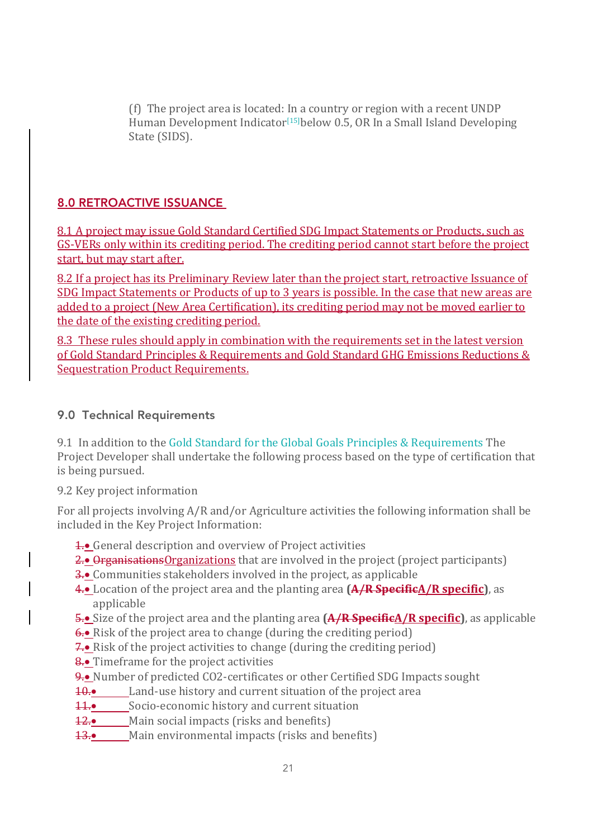(f) The project area is located: In a country or region with a recent UNDP Human Development Indicator<sup>[15]</sup>below 0.5, OR In a Small Island Developing State (SIDS).

### 8.0 RETROACTIVE ISSUANCE

8.1 A project may issue Gold Standard Certified SDG Impact Statements or Products, such as GS-VERs only within its crediting period. The crediting period cannot start before the project start, but may start after.

8.2 If a project has its Preliminary Review later than the project start, retroactive Issuance of SDG Impact Statements or Products of up to 3 years is possible. In the case that new areas are added to a project (New Area Certification), its crediting period may not be moved earlier to the date of the existing crediting period.

8.3 These rules should apply in combination with the requirements set in the latest version of Gold Standard Principles & Requirements and Gold Standard GHG Emissions Reductions & **Sequestration Product Requirements.** 

#### 9.0 Technical Requirements

9.1 In addition to the Gold Standard for the Global Goals Principles & Requirements The Project Developer shall undertake the following process based on the type of certification that is being pursued.

9.2 Key project information

For all projects involving A/R and/or Agriculture activities the following information shall be included in the Key Project Information:

- 1. General description and overview of Project activities
- 2.• Organisations Organizations that are involved in the project (project participants)
- 3.• Communities stakeholders involved in the project, as applicable
- 4.• Location of the project area and the planting area **(A/R SpecificA/R specific)**, as applicable
- 5.• Size of the project area and the planting area **(A/R SpecificA/R specific)**, as applicable
- $\overline{\mathbf{6.}}$  Risk of the project area to change (during the crediting period)
- $\overline{7}$ . Risk of the project activities to change (during the crediting period)
- 8.• Timeframe for the project activities
- 9.• Number of predicted CO2-certificates or other Certified SDG Impacts sought
- $10.•$  Land-use history and current situation of the project area
- **11.•** Socio-economic history and current situation
- 12.• Main social impacts (risks and benefits)
- 13.• Main environmental impacts (risks and benefits)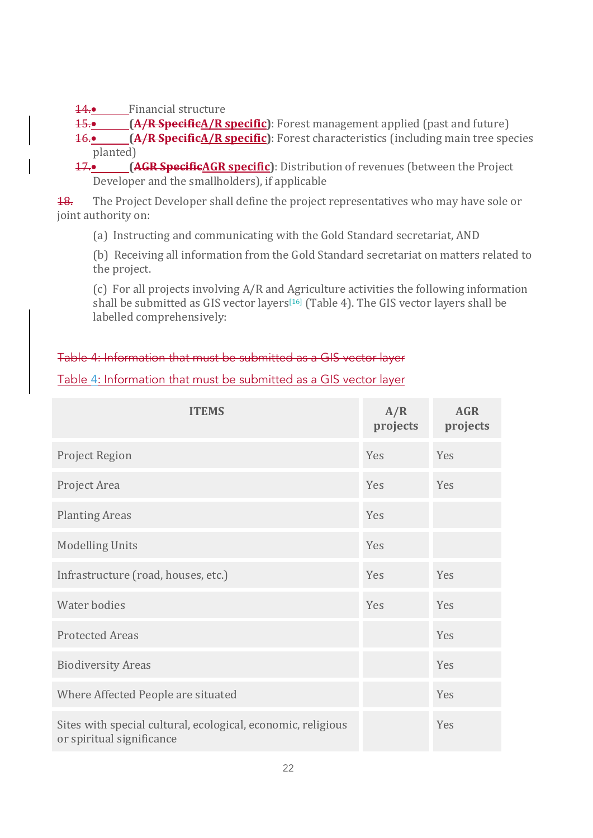14.• Financial structure

15.<sup>•</sup> **(A/R SpecificA/R specific)**: Forest management applied (past and future) 16.• **(A/R SpecificA/R specific)**: Forest characteristics (including main tree species planted)

17.• **(AGR SpecificAGR specific)**: Distribution of revenues (between the Project Developer and the smallholders), if applicable

**18.** The Project Developer shall define the project representatives who may have sole or joint authority on:

(a) Instructing and communicating with the Gold Standard secretariat, AND

(b) Receiving all information from the Gold Standard secretariat on matters related to the project.

(c) For all projects involving  $A/R$  and Agriculture activities the following information shall be submitted as GIS vector layers<sup>[16]</sup> (Table 4). The GIS vector layers shall be labelled comprehensively:

#### Table 4: Information that must be submitted as a GIS vector layer

### Table 4: Information that must be submitted as a GIS vector layer

| <b>ITEMS</b>                                                                              | A/R<br>projects | <b>AGR</b><br>projects |
|-------------------------------------------------------------------------------------------|-----------------|------------------------|
| Project Region                                                                            | Yes             | Yes                    |
| Project Area                                                                              | Yes             | Yes                    |
| <b>Planting Areas</b>                                                                     | Yes             |                        |
| <b>Modelling Units</b>                                                                    | Yes             |                        |
| Infrastructure (road, houses, etc.)                                                       | Yes             | Yes                    |
| Water bodies                                                                              | Yes             | Yes                    |
| <b>Protected Areas</b>                                                                    |                 | Yes                    |
| <b>Biodiversity Areas</b>                                                                 |                 | Yes                    |
| Where Affected People are situated                                                        |                 | Yes                    |
| Sites with special cultural, ecological, economic, religious<br>or spiritual significance |                 | Yes                    |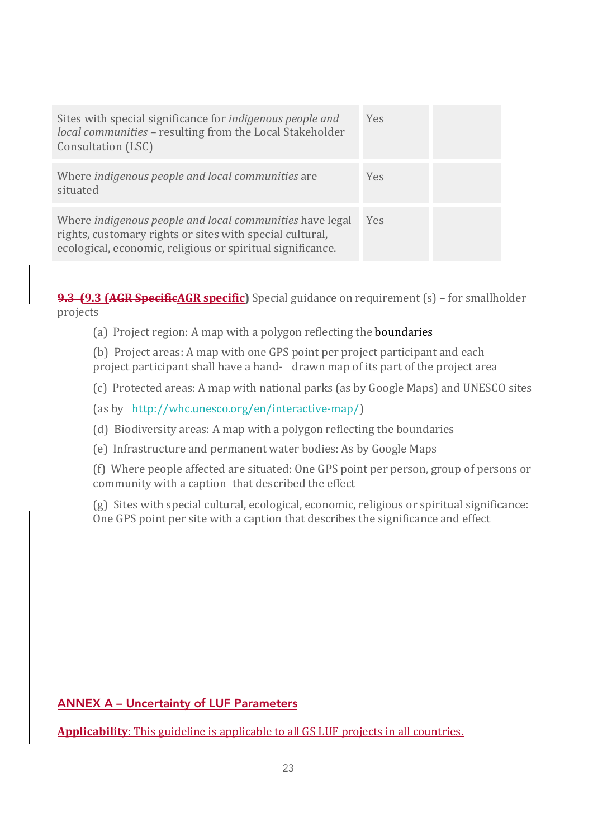| Sites with special significance for <i>indigenous people and</i><br>local communities - resulting from the Local Stakeholder<br>Consultation (LSC)                                 | <b>Yes</b> |  |
|------------------------------------------------------------------------------------------------------------------------------------------------------------------------------------|------------|--|
| Where indigenous people and local communities are<br>situated                                                                                                                      | Yes        |  |
| Where indigenous people and local communities have legal<br>rights, customary rights or sites with special cultural,<br>ecological, economic, religious or spiritual significance. | <b>Yes</b> |  |

**9.3 (9.3 (AGR SpecificAGR specific)** Special guidance on requirement (s) – for smallholder projects

(a) Project region: A map with a polygon reflecting the **boundaries** 

(b) Project areas: A map with one GPS point per project participant and each project participant shall have a hand- drawn map of its part of the project area

(c) Protected areas: A map with national parks (as by Google Maps) and UNESCO sites

(as by http://whc.unesco.org/en/interactive-map/)

(d) Biodiversity areas: A map with a polygon reflecting the boundaries

(e) Infrastructure and permanent water bodies: As by Google Maps

(f) Where people affected are situated: One GPS point per person, group of persons or community with a caption that described the effect

 $(g)$  Sites with special cultural, ecological, economic, religious or spiritual significance: One GPS point per site with a caption that describes the significance and effect

ANNEX A – Uncertainty of LUF Parameters

**Applicability**: This guideline is applicable to all GS LUF projects in all countries.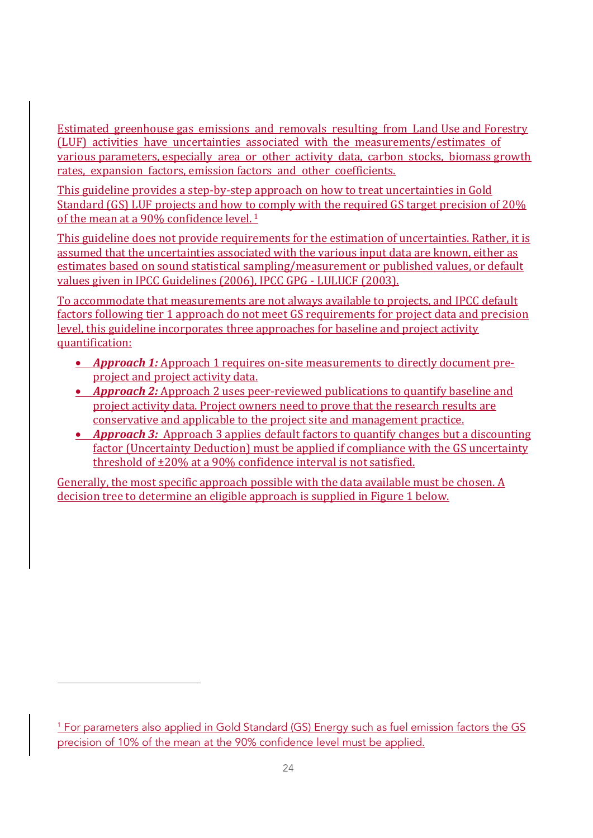Estimated greenhouse gas emissions and removals resulting from Land Use and Forestry (LUF) activities have uncertainties associated with the measurements/estimates of various parameters, especially area or other activity data, carbon stocks, biomass growth rates, expansion factors, emission factors and other coefficients.

This guideline provides a step-by-step approach on how to treat uncertainties in Gold Standard (GS) LUF projects and how to comply with the required GS target precision of 20% of the mean at a 90% confidence level.  $1$ 

This guideline does not provide requirements for the estimation of uncertainties. Rather, it is assumed that the uncertainties associated with the various input data are known, either as estimates based on sound statistical sampling/measurement or published values, or default values given in IPCC Guidelines (2006), IPCC GPG - LULUCF (2003).

To accommodate that measurements are not always available to projects, and IPCC default factors following tier 1 approach do not meet GS requirements for project data and precision level, this guideline incorporates three approaches for baseline and project activity quantification:

- **Approach 1:** Approach 1 requires on-site measurements to directly document preproject and project activity data.
- *Approach 2:* Approach 2 uses peer-reviewed publications to quantify baseline and project activity data. Project owners need to prove that the research results are conservative and applicable to the project site and management practice.
- *Approach 3:* Approach 3 applies default factors to quantify changes but a discounting factor (Uncertainty Deduction) must be applied if compliance with the GS uncertainty threshold of  $\pm 20\%$  at a 90% confidence interval is not satisfied.

Generally, the most specific approach possible with the data available must be chosen. A decision tree to determine an eligible approach is supplied in Figure 1 below.

<u> 1989 - Jan Samuel Barbara, politik eta politik eta politik eta politik eta politik eta politik eta politik e</u>

<sup>&</sup>lt;sup>1</sup> For parameters also applied in Gold Standard (GS) Energy such as fuel emission factors the GS precision of 10% of the mean at the 90% confidence level must be applied.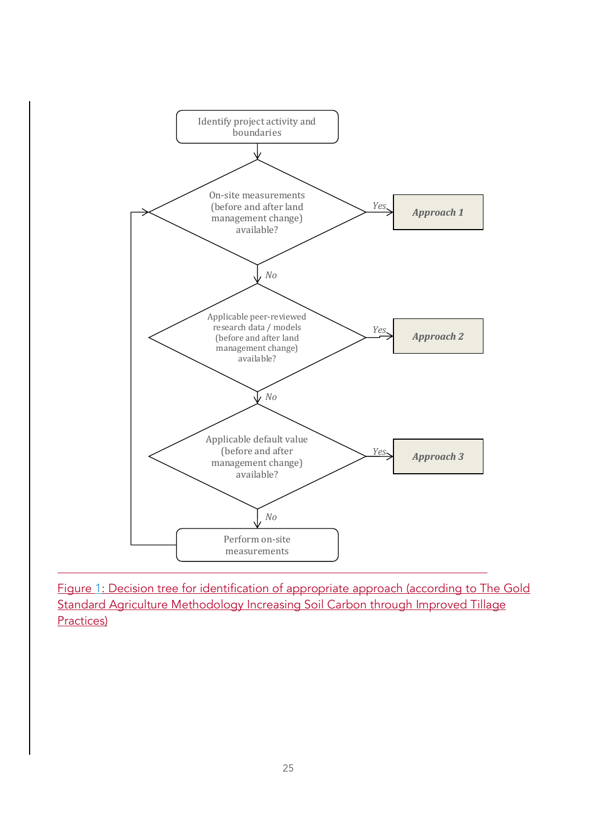

Figure 1: Decision tree for identification of appropriate approach (according to The Gold Standard Agriculture Methodology Increasing Soil Carbon through Improved Tillage Practices)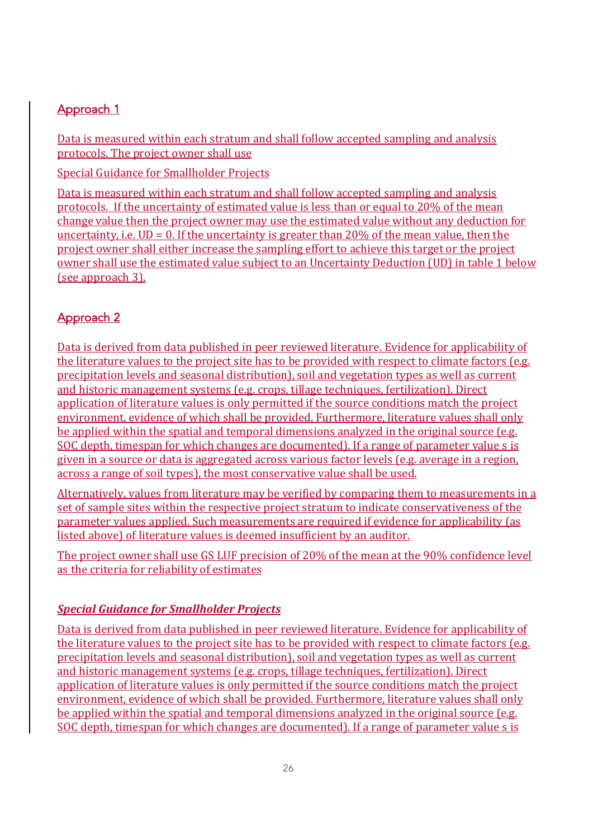## Approach 1

Data is measured within each stratum and shall follow accepted sampling and analysis protocols. The project owner shall use

Special Guidance for Smallholder Projects

Data is measured within each stratum and shall follow accepted sampling and analysis protocols. If the uncertainty of estimated value is less than or equal to 20% of the mean change value then the project owner may use the estimated value without any deduction for uncertainty, i.e.  $UD = 0$ . If the uncertainty is greater than 20% of the mean value, then the project owner shall either increase the sampling effort to achieve this target or the project owner shall use the estimated value subject to an Uncertainty Deduction (UD) in table 1 below (see approach 3).

## Approach 2

Data is derived from data published in peer reviewed literature. Evidence for applicability of the literature values to the project site has to be provided with respect to climate factors  $(e.g.,\)$ precipitation levels and seasonal distribution), soil and vegetation types as well as current and historic management systems (e.g. crops, tillage techniques, fertilization). Direct application of literature values is only permitted if the source conditions match the project environment, evidence of which shall be provided. Furthermore, literature values shall only be applied within the spatial and temporal dimensions analyzed in the original source  $(e.g.$ SOC depth, timespan for which changes are documented). If a range of parameter value s is given in a source or data is aggregated across various factor levels (e.g. average in a region, across a range of soil types), the most conservative value shall be used.

Alternatively, values from literature may be verified by comparing them to measurements in a set of sample sites within the respective project stratum to indicate conservativeness of the parameter values applied. Such measurements are required if evidence for applicability (as listed above) of literature values is deemed insufficient by an auditor.

The project owner shall use GS LUF precision of 20% of the mean at the 90% confidence level as the criteria for reliability of estimates

## *Special Guidance for Smallholder Projects*

Data is derived from data published in peer reviewed literature. Evidence for applicability of the literature values to the project site has to be provided with respect to climate factors  $(e.g.,\)$ precipitation levels and seasonal distribution), soil and vegetation types as well as current and historic management systems (e.g. crops, tillage techniques, fertilization). Direct application of literature values is only permitted if the source conditions match the project environment, evidence of which shall be provided. Furthermore, literature values shall only be applied within the spatial and temporal dimensions analyzed in the original source  $(e.g.,\)$ SOC depth, timespan for which changes are documented). If a range of parameter value s is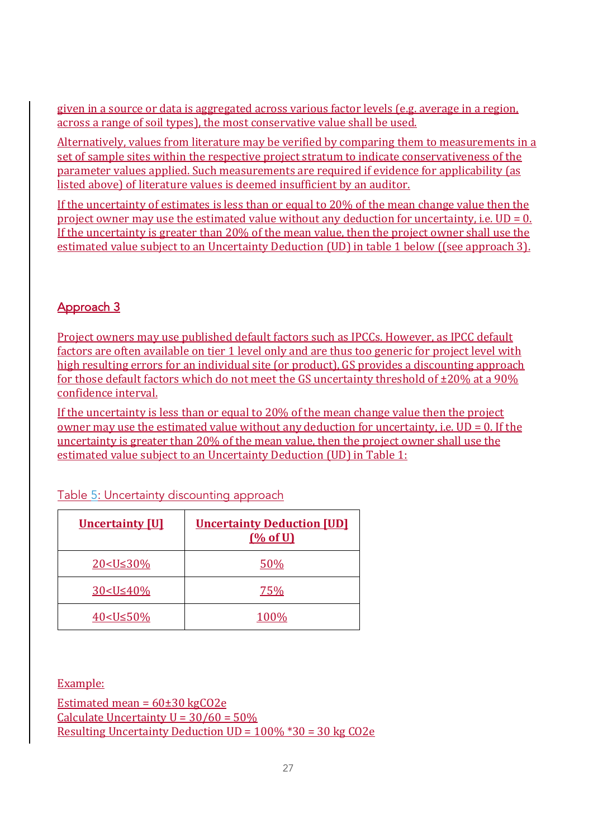given in a source or data is aggregated across various factor levels (e.g. average in a region, across a range of soil types), the most conservative value shall be used.

Alternatively, values from literature may be verified by comparing them to measurements in a set of sample sites within the respective project stratum to indicate conservativeness of the parameter values applied. Such measurements are required if evidence for applicability (as listed above) of literature values is deemed insufficient by an auditor.

If the uncertainty of estimates is less than or equal to  $20\%$  of the mean change value then the project owner may use the estimated value without any deduction for uncertainty, i.e.  $UD = 0$ . If the uncertainty is greater than  $20\%$  of the mean value, then the project owner shall use the estimated value subject to an Uncertainty Deduction (UD) in table 1 below ((see approach 3).

## Approach 3

Project owners may use published default factors such as IPCCs. However, as IPCC default factors are often available on tier 1 level only and are thus too generic for project level with high resulting errors for an individual site (or product), GS provides a discounting approach for those default factors which do not meet the GS uncertainty threshold of  $\pm 20\%$  at a 90% confidence interval.

If the uncertainty is less than or equal to  $20\%$  of the mean change value then the project owner may use the estimated value without any deduction for uncertainty, i.e.  $UD = 0$ . If the uncertainty is greater than 20% of the mean value, then the project owner shall use the estimated value subject to an Uncertainty Deduction (UD) in Table 1:

| <b>Uncertainty [U]</b>                 | <b>Uncertainty Deduction [UD]</b><br>(% of U) |
|----------------------------------------|-----------------------------------------------|
| 20 <u≤30%< td=""><td>50%</td></u≤30%<> | 50%                                           |
| $30 < U \leq 40\%$                     | 75%                                           |
| 40 < U ≤ 50%                           | 100%                                          |

Table 5: Uncertainty discounting approach

Example:

Estimated mean =  $60\pm30$  kgCO2e Calculate Uncertainty  $U = 30/60 = 50\%$ Resulting Uncertainty Deduction  $UD = 100\%$  \*30 = 30 kg CO2e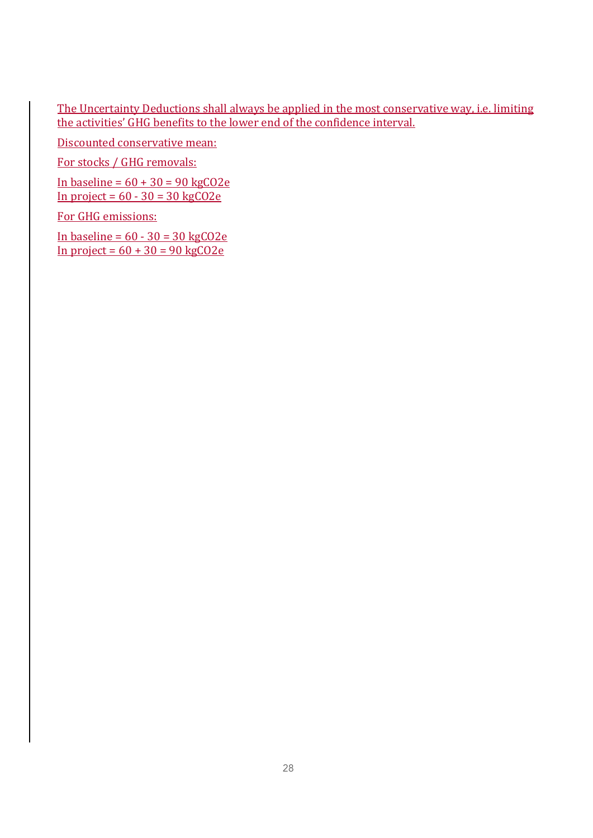The Uncertainty Deductions shall always be applied in the most conservative way, i.e. limiting the activities' GHG benefits to the lower end of the confidence interval.

Discounted conservative mean:

For stocks / GHG removals:

In baseline =  $60 + 30 = 90$  kgCO2e In project =  $60 - 30 = 30 \text{ kgCO2e}$ 

For GHG emissions:

In baseline =  $60 - 30 = 30 \text{ kg}$ CO2e In project =  $60 + 30 = 90$  kgCO2e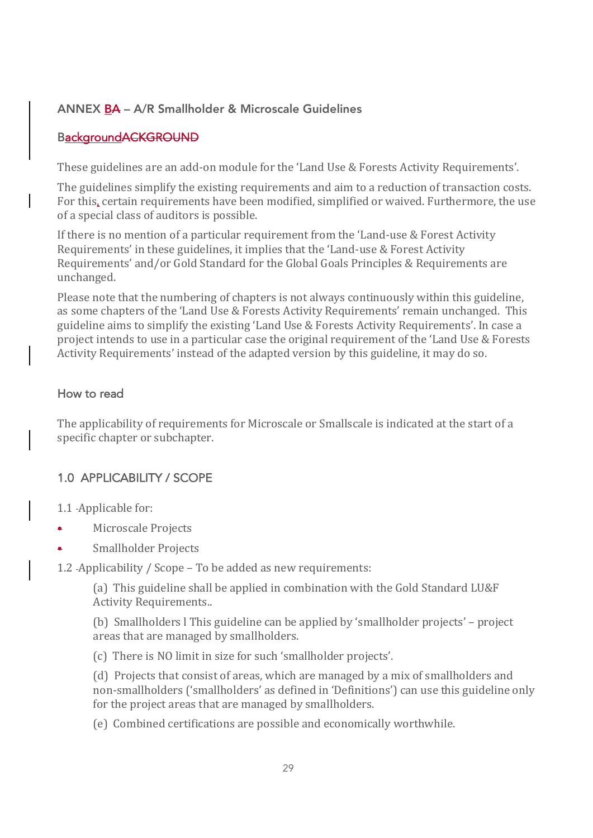### ANNEX BA – A/R Smallholder & Microscale Guidelines

### BackgroundACKGROUND

These guidelines are an add-on module for the 'Land Use & Forests Activity Requirements'.

The guidelines simplify the existing requirements and aim to a reduction of transaction costs. For this, certain requirements have been modified, simplified or waived. Furthermore, the use of a special class of auditors is possible.

If there is no mention of a particular requirement from the 'Land-use  $&$  Forest Activity Requirements' in these guidelines, it implies that the 'Land-use & Forest Activity Requirements' and/or Gold Standard for the Global Goals Principles & Requirements are unchanged.

Please note that the numbering of chapters is not always continuously within this guideline, as some chapters of the 'Land Use & Forests Activity Requirements' remain unchanged. This guideline aims to simplify the existing 'Land Use & Forests Activity Requirements'. In case a project intends to use in a particular case the original requirement of the 'Land Use & Forests Activity Requirements' instead of the adapted version by this guideline, it may do so.

#### How to read

The applicability of requirements for Microscale or Smallscale is indicated at the start of a specific chapter or subchapter.

### 1.0 APPLICABILITY / SCOPE

1.1 - Applicable for:

- Microscale Projects
- Smallholder Projects

1.2 -Applicability / Scope - To be added as new requirements:

(a) This guideline shall be applied in combination with the Gold Standard LU&F Activity Requirements..

(b) Smallholders I This guideline can be applied by 'smallholder projects' – project areas that are managed by smallholders.

(c) There is NO limit in size for such 'smallholder projects'.

(d) Projects that consist of areas, which are managed by a mix of smallholders and non-smallholders ('smallholders' as defined in 'Definitions') can use this guideline only for the project areas that are managed by smallholders.

(e) Combined certifications are possible and economically worthwhile.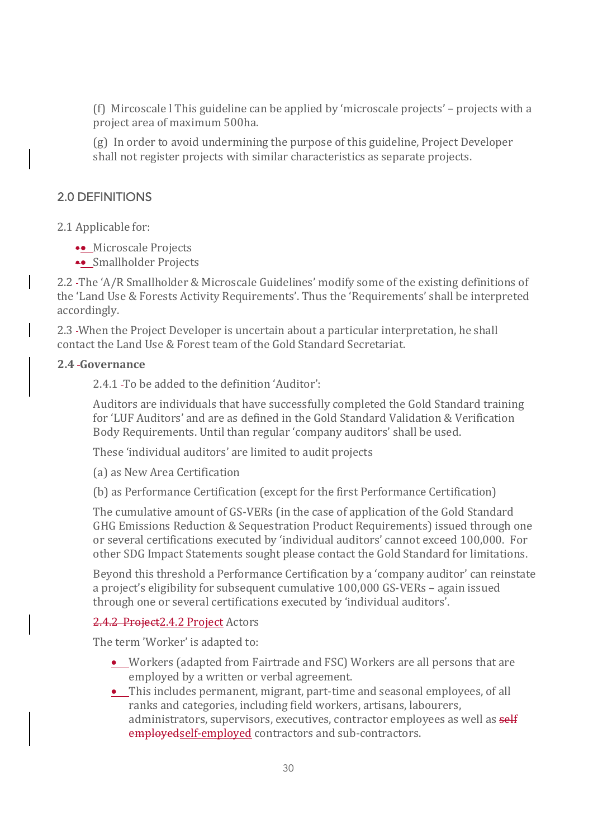(f) Mircoscale I This guideline can be applied by 'microscale projects' – projects with a project area of maximum 500ha.

(g) In order to avoid undermining the purpose of this guideline, Project Developer shall not register projects with similar characteristics as separate projects.

### 2.0 DEFINITIONS

2.1 Applicable for:

- •• Microscale Projects
- Smallholder Projects

2.2 -The 'A/R Smallholder & Microscale Guidelines' modify some of the existing definitions of the 'Land Use & Forests Activity Requirements'. Thus the 'Requirements' shall be interpreted accordingly.

2.3 When the Project Developer is uncertain about a particular interpretation, he shall contact the Land Use & Forest team of the Gold Standard Secretariat.

#### **2.4 Governance**

2.4.1 - To be added to the definition 'Auditor':

Auditors are individuals that have successfully completed the Gold Standard training for 'LUF Auditors' and are as defined in the Gold Standard Validation & Verification Body Requirements. Until than regular 'company auditors' shall be used.

These 'individual auditors' are limited to audit projects

(a) as New Area Certification

(b) as Performance Certification (except for the first Performance Certification)

The cumulative amount of GS-VERs (in the case of application of the Gold Standard GHG Emissions Reduction & Sequestration Product Requirements) issued through one or several certifications executed by 'individual auditors' cannot exceed 100,000. For other SDG Impact Statements sought please contact the Gold Standard for limitations.

Beyond this threshold a Performance Certification by a 'company auditor' can reinstate a project's eligibility for subsequent cumulative 100,000 GS-VERs - again issued through one or several certifications executed by 'individual auditors'.

### 2.4.2 Project 2.4.2 Project Actors

The term 'Worker' is adapted to:

- Workers (adapted from Fairtrade and FSC) Workers are all persons that are employed by a written or verbal agreement.
- This includes permanent, migrant, part-time and seasonal employees, of all ranks and categories, including field workers, artisans, labourers, administrators, supervisors, executives, contractor employees as well as self employedself-employed contractors and sub-contractors.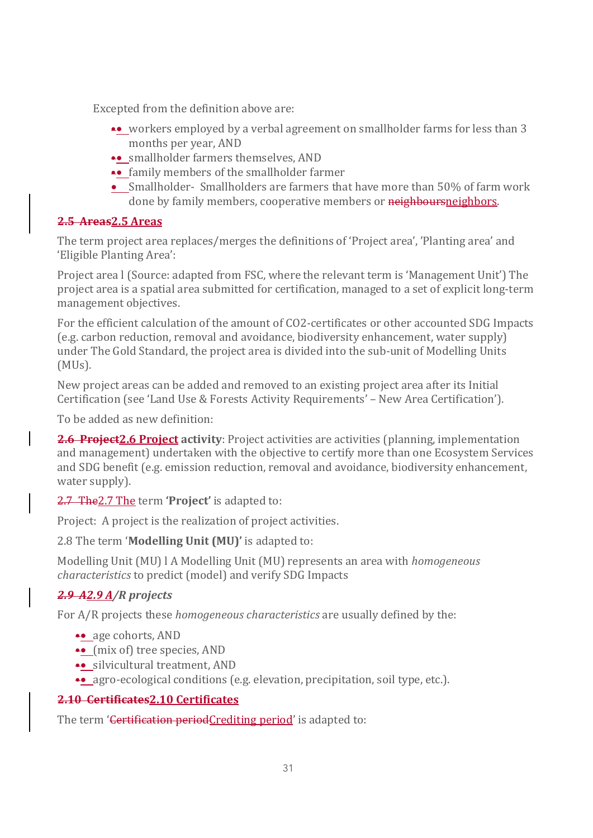Excepted from the definition above are:

- workers employed by a verbal agreement on smallholder farms for less than 3 months per year, AND
- smallholder farmers themselves, AND
- •• family members of the smallholder farmer
- Smallholder- Smallholders are farmers that have more than 50% of farm work done by family members, cooperative members or neighboursneighbors.

### **2.5 Areas2.5 Areas**

The term project area replaces/merges the definitions of 'Project area', 'Planting area' and 'Eligible Planting Area':

Project area I (Source: adapted from FSC, where the relevant term is 'Management Unit') The project area is a spatial area submitted for certification, managed to a set of explicit long-term management objectives.

For the efficient calculation of the amount of CO2-certificates or other accounted SDG Impacts  $(e.g., carbon reduction, removal and avoidance, biodiversity enhancement, water supply)$ under The Gold Standard, the project area is divided into the sub-unit of Modelling Units (MUs).

New project areas can be added and removed to an existing project area after its Initial Certification (see 'Land Use & Forests Activity Requirements' – New Area Certification').

To be added as new definition:

**2.6 Project 2.6 Project** activity: Project activities are activities (planning, implementation and management) undertaken with the objective to certify more than one Ecosystem Services and SDG benefit (e.g. emission reduction, removal and avoidance, biodiversity enhancement, water supply).

2.7 The 2.7 The term 'Project' is adapted to:

Project: A project is the realization of project activities.

2.8 The term '**Modelling Unit (MU)'** is adapted to:

Modelling Unit (MU) l A Modelling Unit (MU) represents an area with *homogeneous characteristics* to predict (model) and verify SDG Impacts

## *2.9 A2.9 A/R projects*

For A/R projects these *homogeneous characteristics* are usually defined by the:

- •• age cohorts, AND
- $\bullet\bullet\$  (mix of) tree species, AND
- •• silvicultural treatment, AND
- agro-ecological conditions (e.g. elevation, precipitation, soil type, etc.).

#### **2.10 Certificates2.10 Certificates**

The term 'Certification periodCrediting period' is adapted to: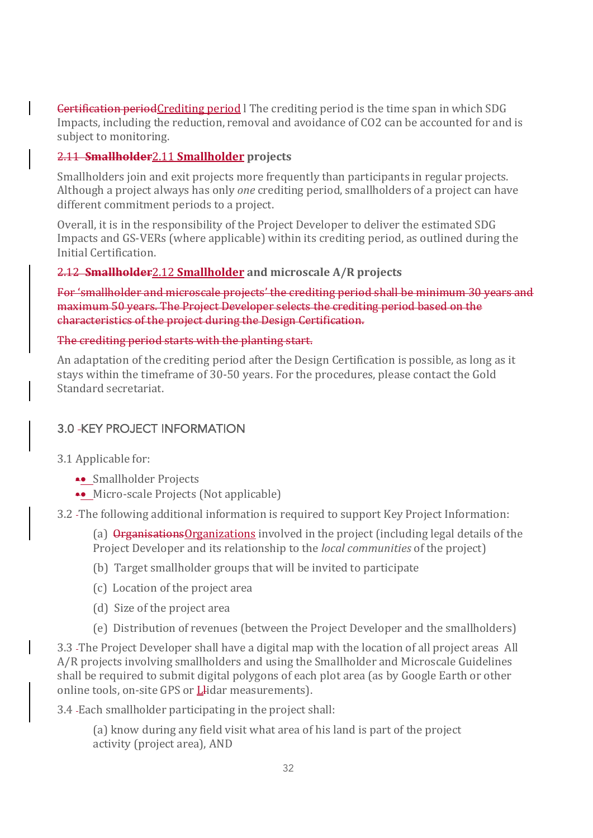**Certification period**Crediting period I The crediting period is the time span in which SDG Impacts, including the reduction, removal and avoidance of CO2 can be accounted for and is subject to monitoring.

#### 2.11 **Smallholder**2.11 **Smallholder projects**

Smallholders join and exit projects more frequently than participants in regular projects. Although a project always has only *one* crediting period, smallholders of a project can have different commitment periods to a project.

Overall, it is in the responsibility of the Project Developer to deliver the estimated SDG Impacts and GS-VERs (where applicable) within its crediting period, as outlined during the Initial Certification.

#### 2.12 **Smallholder**2.12 **Smallholder and microscale A/R projects**

For 'smallholder and microscale projects' the crediting period shall be minimum 30 years and maximum 50 years. The Project Developer selects the crediting period based on the characteristics of the project during the Design Certification.

#### The crediting period starts with the planting start.

An adaptation of the crediting period after the Design Certification is possible, as long as it stays within the timeframe of 30-50 years. For the procedures, please contact the Gold Standard secretariat.

### **3.0 -KEY PROJECT INFORMATION**

- 3.1 Applicable for:
	- Smallholder Projects
	- $\bullet\bullet\text{ Micro-scale Projects (Not applicable)}$
- 3.2 The following additional information is required to support Key Project Information:
	- (a)  $Q$ **rganisations** $Q$ rganizations involved in the project (including legal details of the Project Developer and its relationship to the *local communities* of the project)
	- (b) Target smallholder groups that will be invited to participate
	- (c) Location of the project area
	- (d) Size of the project area
	- (e) Distribution of revenues (between the Project Developer and the smallholders)

3.3 - The Project Developer shall have a digital map with the location of all project areas All A/R projects involving smallholders and using the Smallholder and Microscale Guidelines shall be required to submit digital polygons of each plot area (as by Google Earth or other online tools, on-site GPS or Llidar measurements).

3.4 - Each smallholder participating in the project shall:

(a) know during any field visit what area of his land is part of the project activity (project area), AND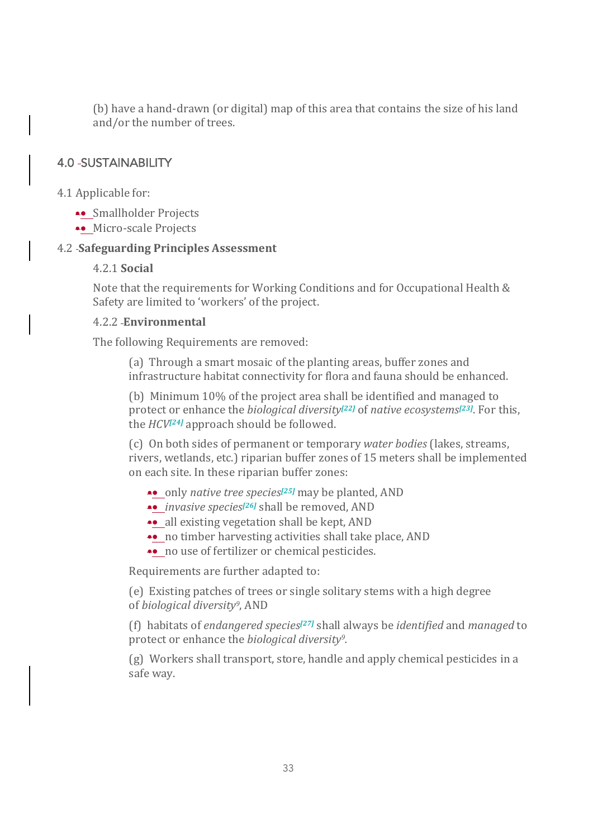(b) have a hand-drawn (or digital) map of this area that contains the size of his land and/or the number of trees.

### 4.0 SUSTAINABILITY

- 4.1 Applicable for:
	- Smallholder Projects
	- •• Micro-scale Projects

#### 4.2 **Safeguarding Principles Assessment**

#### 4.2.1 **Social**

Note that the requirements for Working Conditions and for Occupational Health  $\&$ Safety are limited to 'workers' of the project.

#### 4.2.2 **Environmental**

The following Requirements are removed:

(a) Through a smart mosaic of the planting areas, buffer zones and infrastructure habitat connectivity for flora and fauna should be enhanced.

(b) Minimum 10% of the project area shall be identified and managed to protect or enhance the *biological diversity<sup>[22]</sup>* of *native ecosystems<sup>[23]</sup>.* For this, the *HCV*<sup>[24]</sup> approach should be followed.

(c) On both sides of permanent or temporary *water bodies* (lakes, streams, rivers, wetlands, etc.) riparian buffer zones of 15 meters shall be implemented on each site. In these riparian buffer zones:

- •• only *native tree species<sup>[25]</sup>* may be planted, AND
- *invasive species<sup>[26]</sup>* shall be removed, AND
- •• all existing vegetation shall be kept, AND
- •• no timber harvesting activities shall take place, AND
- no use of fertilizer or chemical pesticides.

Requirements are further adapted to:

(e) Existing patches of trees or single solitary stems with a high degree of *biological diversity9*, AND

(f) habitats of *endangered species[27]* shall always be *identified* and *managed* to protect or enhance the *biological diversity*<sup>9</sup>.

(g) Workers shall transport, store, handle and apply chemical pesticides in a safe way.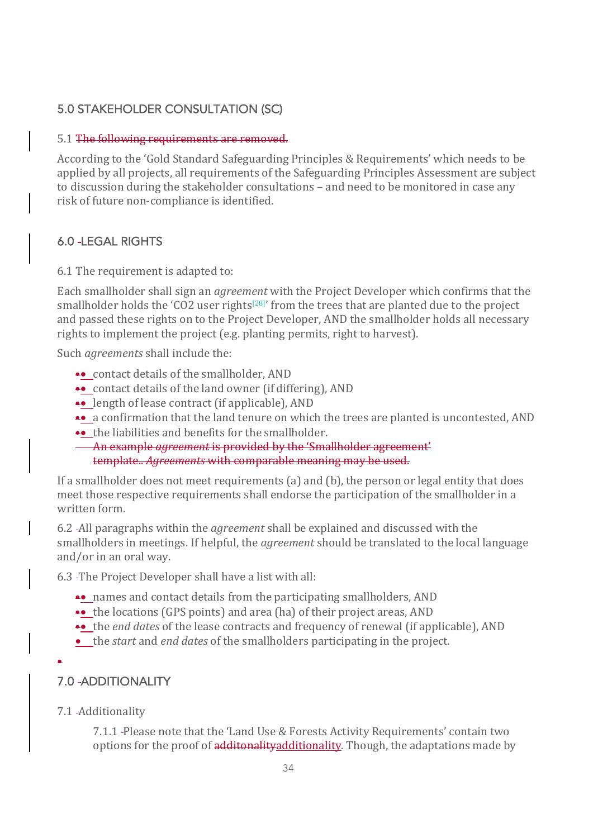## 5.0 STAKEHOLDER CONSULTATION (SC)

#### 5.1 The following requirements are removed.

According to the 'Gold Standard Safeguarding Principles & Requirements' which needs to be applied by all projects, all requirements of the Safeguarding Principles Assessment are subject to discussion during the stakeholder consultations – and need to be monitored in case any risk of future non-compliance is identified.

## 6.0 LEGAL RIGHTS

6.1 The requirement is adapted to:

Each smallholder shall sign an *agreement* with the Project Developer which confirms that the smallholder holds the 'CO2 user rights<sup>[28]'</sup> from the trees that are planted due to the project and passed these rights on to the Project Developer, AND the smallholder holds all necessary rights to implement the project (e.g. planting permits, right to harvest).

Such *agreements* shall include the:

- contact details of the smallholder, AND
- •• contact details of the land owner (if differing), AND
- length of lease contract (if applicable), AND
- a confirmation that the land tenure on which the trees are planted is uncontested, AND
- the liabilities and benefits for the smallholder.
- An example *agreement* is provided by the 'Smallholder agreement' template.. *Agreements* with comparable meaning may be used.

If a smallholder does not meet requirements  $(a)$  and  $(b)$ , the person or legal entity that does meet those respective requirements shall endorse the participation of the smallholder in a written form.

6.2 -All paragraphs within the *agreement* shall be explained and discussed with the smallholders in meetings. If helpful, the *agreement* should be translated to the local language and/or in an oral way.

6.3 - The Project Developer shall have a list with all:

- names and contact details from the participating smallholders, AND
- •• the locations (GPS points) and area (ha) of their project areas, AND
- the *end dates* of the lease contracts and frequency of renewal (if applicable), AND
- the *start* and *end dates* of the smallholders participating in the project.
- •

## 7.0 ADDITIONALITY

7.1 Additionality

7.1.1 -Please note that the 'Land Use & Forests Activity Requirements' contain two options for the proof of additonalityadditionality. Though, the adaptations made by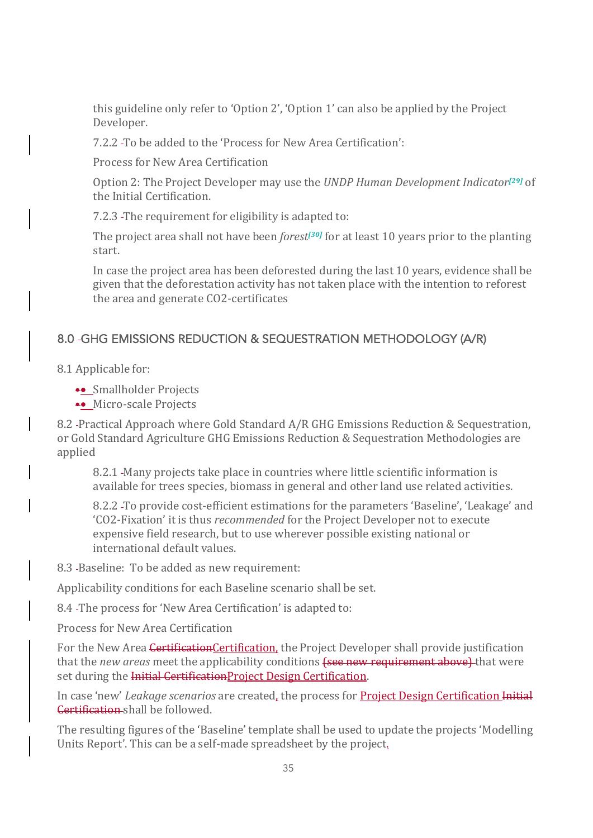this guideline only refer to 'Option 2', 'Option 1' can also be applied by the Project Developer.

7.2.2 - To be added to the 'Process for New Area Certification':

Process for New Area Certification

Option 2: The Project Developer may use the *UNDP Human Development Indicator*<sup>[29]</sup> of the Initial Certification.

7.2.3 - The requirement for eligibility is adapted to:

The project area shall not have been *forest<sup>[30]</sup>* for at least 10 years prior to the planting start.

In case the project area has been deforested during the last 10 years, evidence shall be given that the deforestation activity has not taken place with the intention to reforest the area and generate CO2-certificates

## 8.0 GHG EMISSIONS REDUCTION & SEQUESTRATION METHODOLOGY (A/R)

- 8.1 Applicable for:
	- •• Smallholder Projects
	- •• Micro-scale Projects

8.2 -Practical Approach where Gold Standard A/R GHG Emissions Reduction & Sequestration, or Gold Standard Agriculture GHG Emissions Reduction & Sequestration Methodologies are applied

8.2.1 - Many projects take place in countries where little scientific information is available for trees species, biomass in general and other land use related activities.

8.2.2 To provide cost-efficient estimations for the parameters 'Baseline', 'Leakage' and 'CO2-Fixation' it is thus *recommended* for the Project Developer not to execute expensive field research, but to use wherever possible existing national or international default values.

8.3 -Baseline: To be added as new requirement:

Applicability conditions for each Baseline scenario shall be set.

8.4 - The process for 'New Area Certification' is adapted to:

Process for New Area Certification

For the New Area Certification Certification, the Project Developer shall provide justification that the *new areas* meet the applicability conditions (see new requirement above) that were set during the Initial CertificationProject Design Certification.

In case 'new' *Leakage scenarios* are created, the process for **Project Design Certification Initial Certification** shall be followed.

The resulting figures of the 'Baseline' template shall be used to update the projects 'Modelling Units Report'. This can be a self-made spreadsheet by the project.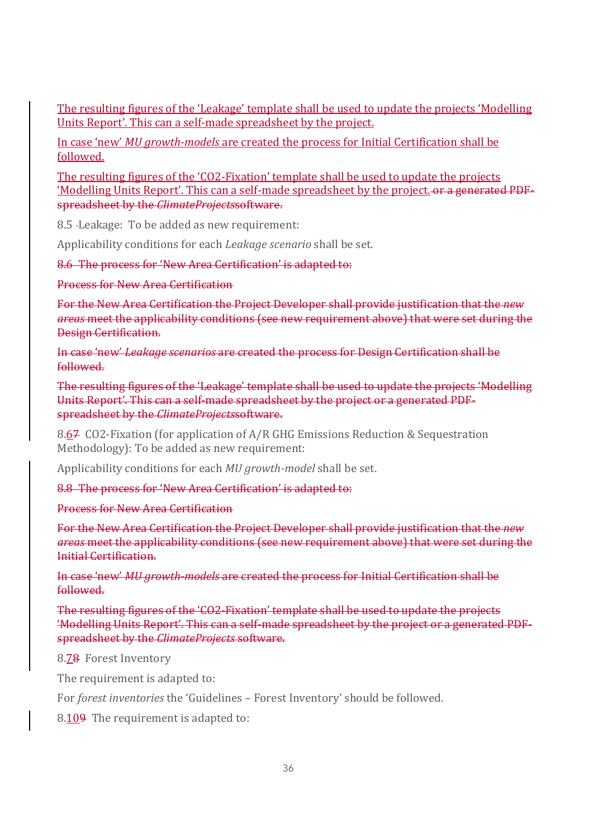The resulting figures of the 'Leakage' template shall be used to update the projects 'Modelling Units Report'. This can a self-made spreadsheet by the project.

In case 'new' *MU growth-models* are created the process for Initial Certification shall be followed.

The resulting figures of the 'CO2-Fixation' template shall be used to update the projects 'Modelling Units Report'. This can a self-made spreadsheet by the project. or a generated PDFspreadsheet by the *ClimateProjectssoftware*.

8.5 - Leakage: To be added as new requirement:

Applicability conditions for each *Leakage scenario* shall be set.

8.6 The process for 'New Area Certification' is adapted to:

Process for New Area Certification

For the New Area Certification the Project Developer shall provide justification that the *new areas* meet the applicability conditions (see new requirement above) that were set during the Design Certification.

In case 'new' *Leakage scenarios* are created the process for Design Certification shall be followed.

The resulting figures of the 'Leakage' template shall be used to update the projects 'Modelling Units Report'. This can a self-made spreadsheet by the project or a generated PDFspreadsheet by the *ClimateProjectssoftware*.

8.67 CO2-Fixation (for application of A/R GHG Emissions Reduction & Sequestration Methodology): To be added as new requirement:

Applicability conditions for each *MU growth-model* shall be set.

8.8 The process for 'New Area Certification' is adapted to:

Process for New Area Certification

For the New Area Certification the Project Developer shall provide justification that the *new* areas meet the applicability conditions (see new requirement above) that were set during the Initial Certification.

In case 'new' *MU growth-models* are created the process for Initial Certification shall be followed.

The resulting figures of the 'CO2-Fixation' template shall be used to update the projects 'Modelling Units Report'. This can a self-made spreadsheet by the project or a generated PDFspreadsheet by the *ClimateProjects* software.

8.78 Forest Inventory

The requirement is adapted to:

For *forest inventories* the 'Guidelines - Forest Inventory' should be followed.

8.109 The requirement is adapted to: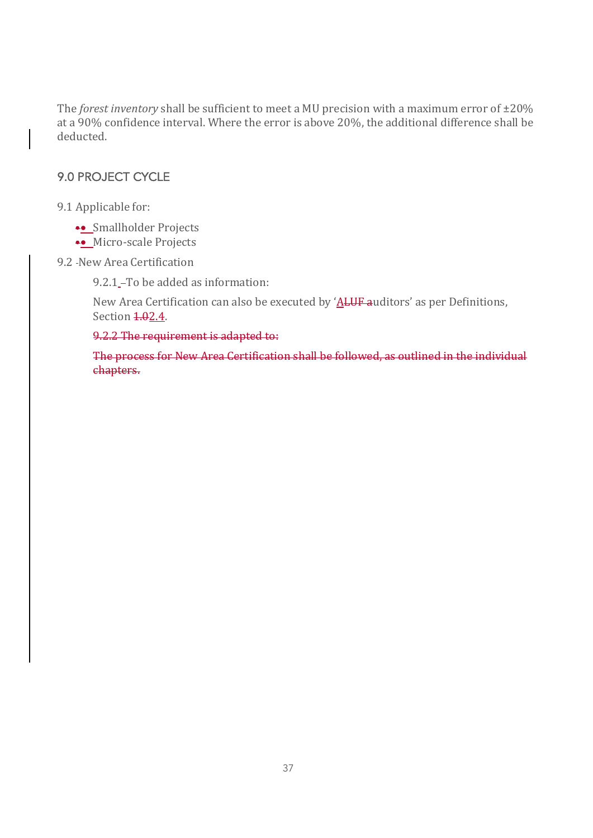The *forest inventory* shall be sufficient to meet a MU precision with a maximum error of  $\pm 20\%$ at a 90% confidence interval. Where the error is above 20%, the additional difference shall be deducted.

### 9.0 PROJECT CYCLE

9.1 Applicable for:

- •• Smallholder Projects
- •• Micro-scale Projects
- 9.2 New Area Certification

9.2.1 - To be added as information:

New Area Certification can also be executed by  $'$ ALUF auditors' as per Definitions, Section 4.02.4.

9.2.2 The requirement is adapted to:

The process for New Area Certification shall be followed, as outlined in the individual chapters.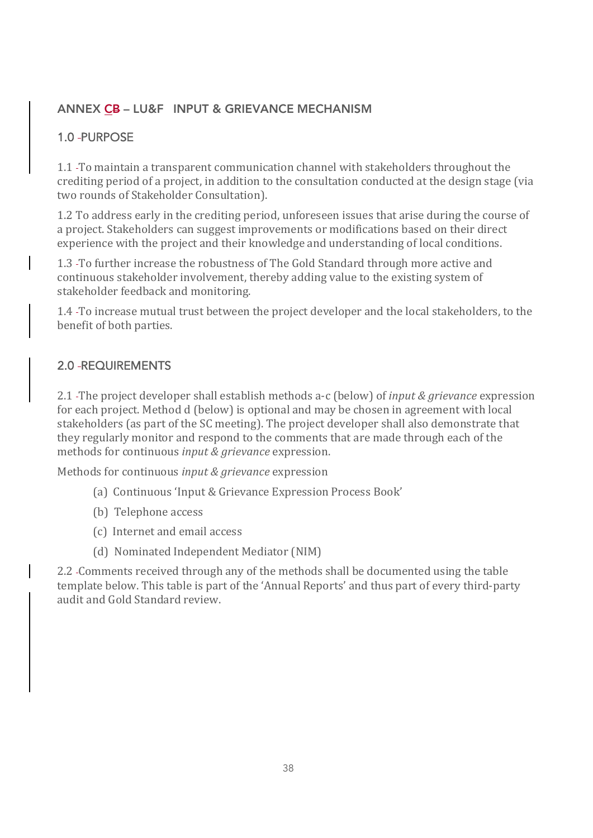## ANNEX CB – LU&F INPUT & GRIEVANCE MECHANISM

## 1.0 - PURPOSE

1.1 - To maintain a transparent communication channel with stakeholders throughout the crediting period of a project, in addition to the consultation conducted at the design stage (via two rounds of Stakeholder Consultation).

1.2 To address early in the crediting period, unforeseen issues that arise during the course of a project. Stakeholders can suggest improvements or modifications based on their direct experience with the project and their knowledge and understanding of local conditions.

1.3 -To further increase the robustness of The Gold Standard through more active and continuous stakeholder involvement, thereby adding value to the existing system of stakeholder feedback and monitoring.

1.4 -To increase mutual trust between the project developer and the local stakeholders, to the benefit of both parties.

## 2.0 - REQUIREMENTS

2.1 The project developer shall establish methods a-c (below) of *input & grievance* expression for each project. Method d (below) is optional and may be chosen in agreement with local stakeholders (as part of the SC meeting). The project developer shall also demonstrate that they regularly monitor and respond to the comments that are made through each of the methods for continuous *input & grievance* expression.

Methods for continuous *input & grievance* expression

- (a) Continuous 'Input & Grievance Expression Process Book'
- (b) Telephone access
- (c) Internet and email access
- (d) Nominated Independent Mediator (NIM)

2.2 -Comments received through any of the methods shall be documented using the table template below. This table is part of the 'Annual Reports' and thus part of every third-party audit and Gold Standard review.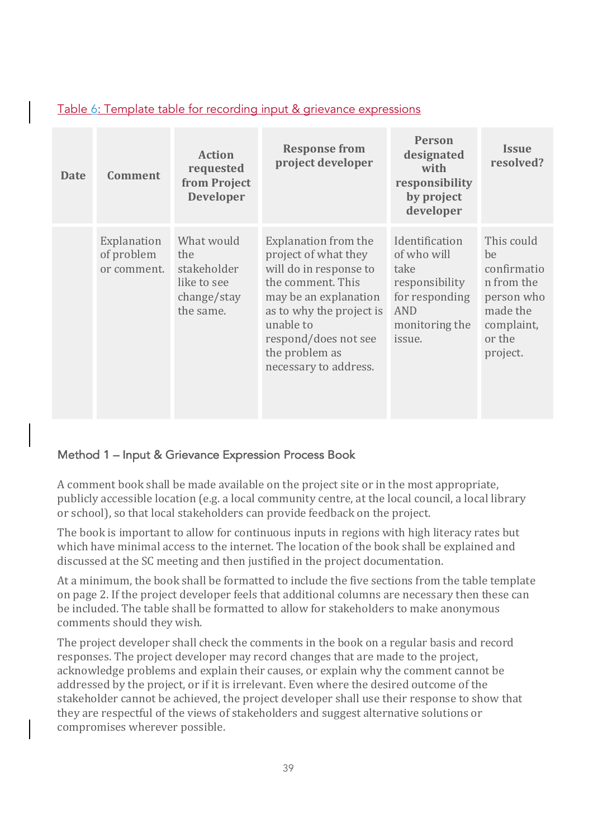| Table 6: Template table for recording input & grievance expressions |  |  |
|---------------------------------------------------------------------|--|--|
|                                                                     |  |  |

| <b>Date</b> | <b>Comment</b>                           | <b>Action</b><br>requested<br>from Project<br><b>Developer</b>              | <b>Response from</b><br>project developer                                                                                                                                                                                        | <b>Person</b><br>designated<br>with<br>responsibility<br>by project<br>developer                             | <b>Issue</b><br>resolved?                                                                                   |
|-------------|------------------------------------------|-----------------------------------------------------------------------------|----------------------------------------------------------------------------------------------------------------------------------------------------------------------------------------------------------------------------------|--------------------------------------------------------------------------------------------------------------|-------------------------------------------------------------------------------------------------------------|
|             | Explanation<br>of problem<br>or comment. | What would<br>the<br>stakeholder<br>like to see<br>change/stay<br>the same. | Explanation from the<br>project of what they<br>will do in response to<br>the comment. This<br>may be an explanation<br>as to why the project is<br>unable to<br>respond/does not see<br>the problem as<br>necessary to address. | Identification<br>of who will<br>take<br>responsibility<br>for responding<br>AND<br>monitoring the<br>issue. | This could<br>be<br>confirmatio<br>n from the<br>person who<br>made the<br>complaint,<br>or the<br>project. |

### Method 1 – Input & Grievance Expression Process Book

A comment book shall be made available on the project site or in the most appropriate, publicly accessible location (e.g. a local community centre, at the local council, a local library or school), so that local stakeholders can provide feedback on the project.

The book is important to allow for continuous inputs in regions with high literacy rates but which have minimal access to the internet. The location of the book shall be explained and discussed at the SC meeting and then justified in the project documentation.

At a minimum, the book shall be formatted to include the five sections from the table template on page 2. If the project developer feels that additional columns are necessary then these can be included. The table shall be formatted to allow for stakeholders to make anonymous comments should they wish.

The project developer shall check the comments in the book on a regular basis and record responses. The project developer may record changes that are made to the project, acknowledge problems and explain their causes, or explain why the comment cannot be addressed by the project, or if it is irrelevant. Even where the desired outcome of the stakeholder cannot be achieved, the project developer shall use their response to show that they are respectful of the views of stakeholders and suggest alternative solutions or compromises wherever possible.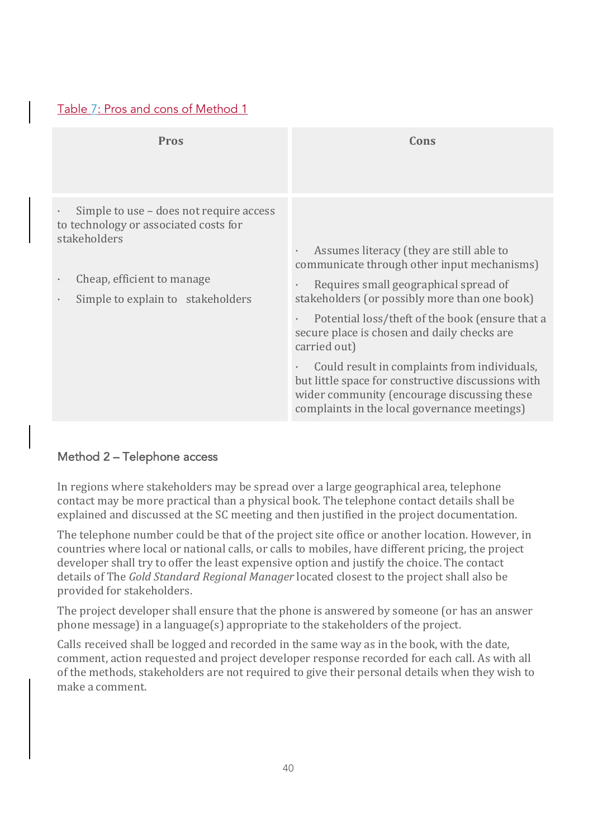### Table 7: Pros and cons of Method 1

| <b>Pros</b>                                                                                                                                                                      | Cons                                                                                                                                                                                                                                                                                                                                                                                                                                                                                                                                                         |
|----------------------------------------------------------------------------------------------------------------------------------------------------------------------------------|--------------------------------------------------------------------------------------------------------------------------------------------------------------------------------------------------------------------------------------------------------------------------------------------------------------------------------------------------------------------------------------------------------------------------------------------------------------------------------------------------------------------------------------------------------------|
| Simple to use – does not require access<br>$\bullet$<br>to technology or associated costs for<br>stakeholders<br>Cheap, efficient to manage<br>Simple to explain to stakeholders | Assumes literacy (they are still able to<br>$\bullet$<br>communicate through other input mechanisms)<br>Requires small geographical spread of<br>$\bullet$<br>stakeholders (or possibly more than one book)<br>Potential loss/theft of the book (ensure that a<br>$\bullet$<br>secure place is chosen and daily checks are<br>carried out)<br>Could result in complaints from individuals,<br>$\bullet$<br>but little space for constructive discussions with<br>wider community (encourage discussing these<br>complaints in the local governance meetings) |

### Method 2 – Telephone access

In regions where stakeholders may be spread over a large geographical area, telephone contact may be more practical than a physical book. The telephone contact details shall be explained and discussed at the SC meeting and then justified in the project documentation.

The telephone number could be that of the project site office or another location. However, in countries where local or national calls, or calls to mobiles, have different pricing, the project developer shall try to offer the least expensive option and justify the choice. The contact details of The *Gold Standard Regional Manager* located closest to the project shall also be provided for stakeholders.

The project developer shall ensure that the phone is answered by someone (or has an answer phone message) in a language(s) appropriate to the stakeholders of the project.

Calls received shall be logged and recorded in the same way as in the book, with the date, comment, action requested and project developer response recorded for each call. As with all of the methods, stakeholders are not required to give their personal details when they wish to make a comment.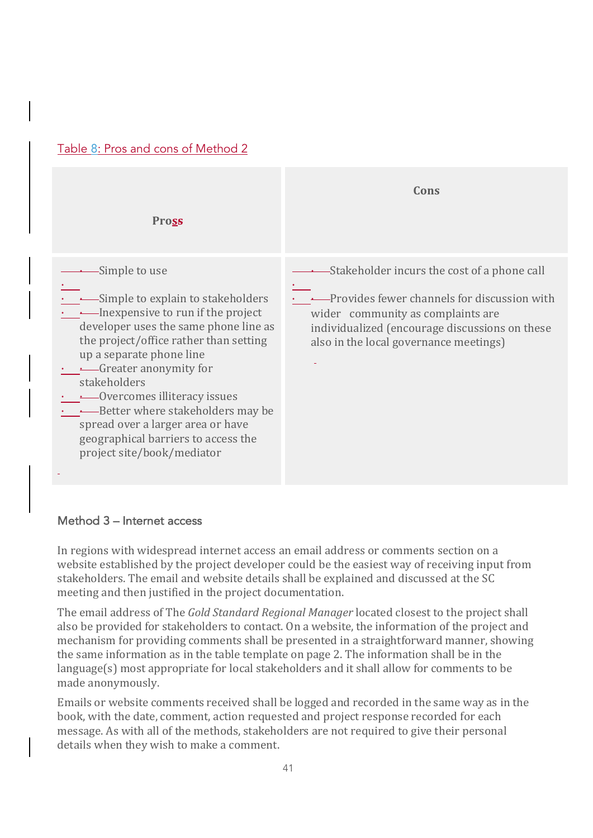



#### Method 3 – Internet access

In regions with widespread internet access an email address or comments section on a website established by the project developer could be the easiest way of receiving input from stakeholders. The email and website details shall be explained and discussed at the SC meeting and then justified in the project documentation.

The email address of The *Gold Standard Regional Manager* located closest to the project shall also be provided for stakeholders to contact. On a website, the information of the project and mechanism for providing comments shall be presented in a straightforward manner, showing the same information as in the table template on page 2. The information shall be in the language(s) most appropriate for local stakeholders and it shall allow for comments to be made anonymously.

Emails or website comments received shall be logged and recorded in the same way as in the book, with the date, comment, action requested and project response recorded for each message. As with all of the methods, stakeholders are not required to give their personal details when they wish to make a comment.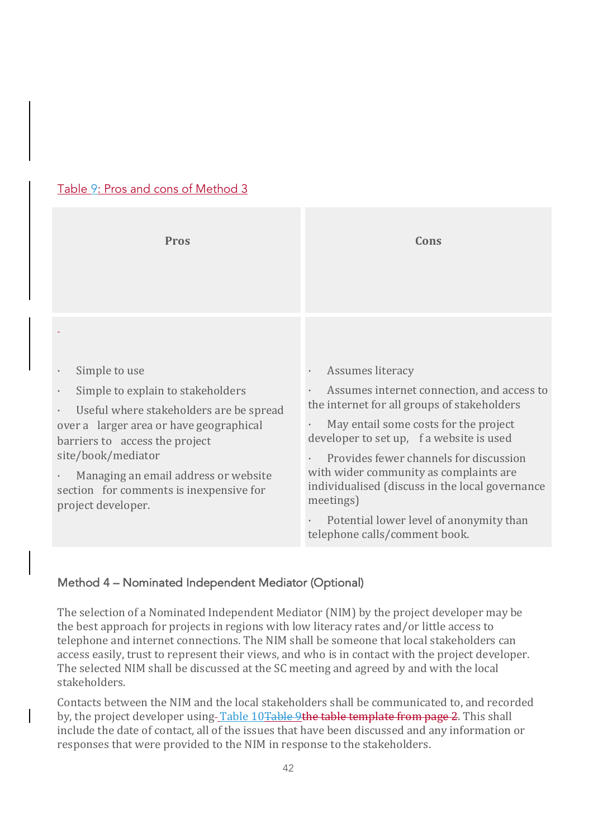| <b>Pros</b>                                                                                                                                                                                                                                                                                                            | Cons                                                                                                                                                                                                                                                                                                                                                                                                                                            |
|------------------------------------------------------------------------------------------------------------------------------------------------------------------------------------------------------------------------------------------------------------------------------------------------------------------------|-------------------------------------------------------------------------------------------------------------------------------------------------------------------------------------------------------------------------------------------------------------------------------------------------------------------------------------------------------------------------------------------------------------------------------------------------|
| Simple to use<br>Simple to explain to stakeholders<br>Useful where stakeholders are be spread<br>$\bullet$<br>over a larger area or have geographical<br>barriers to access the project<br>site/book/mediator<br>Managing an email address or website<br>section for comments is inexpensive for<br>project developer. | Assumes literacy<br>$\bullet$<br>Assumes internet connection, and access to<br>the internet for all groups of stakeholders<br>May entail some costs for the project<br>developer to set up, f a website is used<br>Provides fewer channels for discussion<br>with wider community as complaints are<br>individualised (discuss in the local governance<br>meetings)<br>Potential lower level of anonymity than<br>telephone calls/comment book. |

## Table 9: Pros and cons of Method 3

### Method 4 – Nominated Independent Mediator (Optional)

The selection of a Nominated Independent Mediator (NIM) by the project developer may be the best approach for projects in regions with low literacy rates and/or little access to telephone and internet connections. The NIM shall be someone that local stakeholders can access easily, trust to represent their views, and who is in contact with the project developer. The selected NIM shall be discussed at the SC meeting and agreed by and with the local stakeholders.

Contacts between the NIM and the local stakeholders shall be communicated to, and recorded by, the project developer using-Table 10<del>Table 9the table template from page 2</del>. This shall include the date of contact, all of the issues that have been discussed and any information or responses that were provided to the NIM in response to the stakeholders.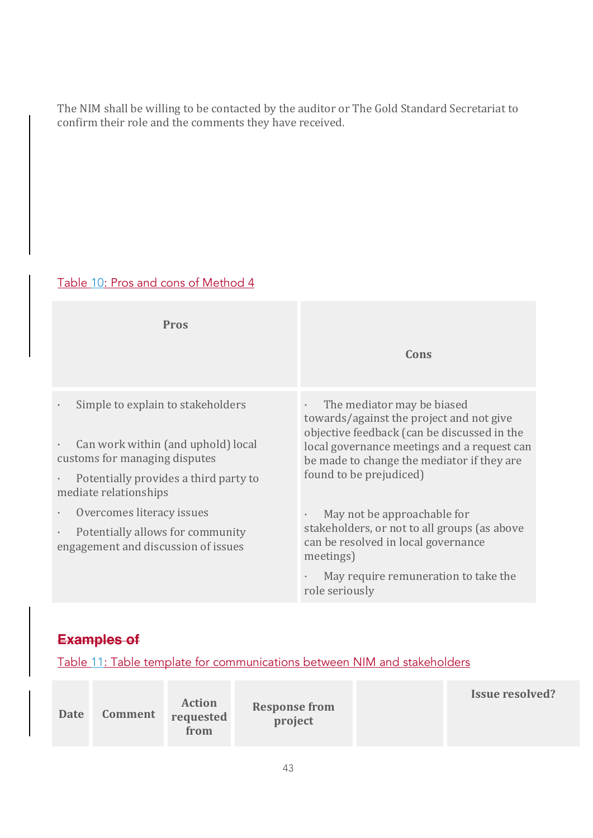The NIM shall be willing to be contacted by the auditor or The Gold Standard Secretariat to confirm their role and the comments they have received.

## Table 10: Pros and cons of Method 4

| <b>Pros</b>                                                                          |                                                                                                                                              |  |  |
|--------------------------------------------------------------------------------------|----------------------------------------------------------------------------------------------------------------------------------------------|--|--|
|                                                                                      | Cons                                                                                                                                         |  |  |
| Simple to explain to stakeholders                                                    | The mediator may be biased<br>$\bullet$<br>towards/against the project and not give<br>objective feedback (can be discussed in the           |  |  |
| Can work within (and uphold) local<br>customs for managing disputes                  | local governance meetings and a request can<br>be made to change the mediator if they are                                                    |  |  |
| Potentially provides a third party to<br>mediate relationships                       | found to be prejudiced)                                                                                                                      |  |  |
| Overcomes literacy issues                                                            | May not be approachable for<br>$\bullet$<br>stakeholders, or not to all groups (as above<br>can be resolved in local governance<br>meetings) |  |  |
| Potentially allows for community<br>$\bullet$<br>engagement and discussion of issues |                                                                                                                                              |  |  |
|                                                                                      | May require remuneration to take the<br>role seriously                                                                                       |  |  |

# **Examples of**

Table 11: Table template for communications between NIM and stakeholders

| Date | <b>Comment</b> | <b>Action</b><br>requested<br>from | <b>Response from</b><br>project |  | <b>Issue resolved?</b> |
|------|----------------|------------------------------------|---------------------------------|--|------------------------|
|------|----------------|------------------------------------|---------------------------------|--|------------------------|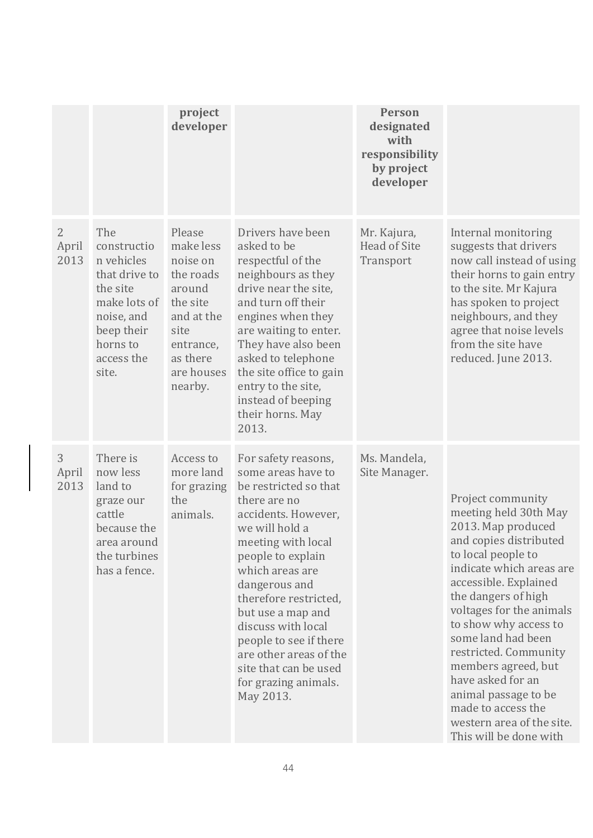|                                 |                                                                                                                                              | project<br>developer                                                                                                                       |                                                                                                                                                                                                                                                                                                                                                                                                  | <b>Person</b><br>designated<br>with<br>responsibility<br>by project<br>developer |                                                                                                                                                                                                                                                                                                                                                                                                                                                   |
|---------------------------------|----------------------------------------------------------------------------------------------------------------------------------------------|--------------------------------------------------------------------------------------------------------------------------------------------|--------------------------------------------------------------------------------------------------------------------------------------------------------------------------------------------------------------------------------------------------------------------------------------------------------------------------------------------------------------------------------------------------|----------------------------------------------------------------------------------|---------------------------------------------------------------------------------------------------------------------------------------------------------------------------------------------------------------------------------------------------------------------------------------------------------------------------------------------------------------------------------------------------------------------------------------------------|
| $\overline{2}$<br>April<br>2013 | The<br>constructio<br>n vehicles<br>that drive to<br>the site<br>make lots of<br>noise, and<br>beep their<br>horns to<br>access the<br>site. | Please<br>make less<br>noise on<br>the roads<br>around<br>the site<br>and at the<br>site<br>entrance,<br>as there<br>are houses<br>nearby. | Drivers have been<br>asked to be<br>respectful of the<br>neighbours as they<br>drive near the site,<br>and turn off their<br>engines when they<br>are waiting to enter.<br>They have also been<br>asked to telephone<br>the site office to gain<br>entry to the site,<br>instead of beeping<br>their horns. May<br>2013.                                                                         | Mr. Kajura,<br><b>Head of Site</b><br>Transport                                  | Internal monitoring<br>suggests that drivers<br>now call instead of using<br>their horns to gain entry<br>to the site. Mr Kajura<br>has spoken to project<br>neighbours, and they<br>agree that noise levels<br>from the site have<br>reduced. June 2013.                                                                                                                                                                                         |
| 3<br>April<br>2013              | There is<br>now less<br>land to<br>graze our<br>cattle<br>because the<br>area around<br>the turbines<br>has a fence.                         | Access to<br>more land<br>for grazing<br>the<br>animals.                                                                                   | For safety reasons,<br>some areas have to<br>be restricted so that<br>there are no<br>accidents. However,<br>we will hold a<br>meeting with local<br>people to explain<br>which areas are<br>dangerous and<br>therefore restricted,<br>but use a map and<br>discuss with local<br>people to see if there<br>are other areas of the<br>site that can be used<br>for grazing animals.<br>May 2013. | Ms. Mandela,<br>Site Manager.                                                    | Project community<br>meeting held 30th May<br>2013. Map produced<br>and copies distributed<br>to local people to<br>indicate which areas are<br>accessible. Explained<br>the dangers of high<br>voltages for the animals<br>to show why access to<br>some land had been<br>restricted. Community<br>members agreed, but<br>have asked for an<br>animal passage to be<br>made to access the<br>western area of the site.<br>This will be done with |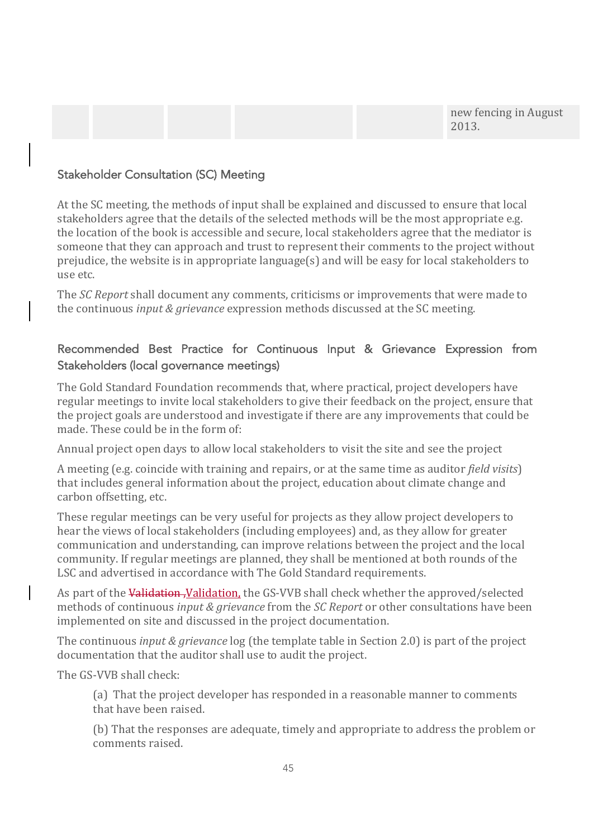new fencing in August 2013.

#### Stakeholder Consultation (SC) Meeting

At the SC meeting, the methods of input shall be explained and discussed to ensure that local stakeholders agree that the details of the selected methods will be the most appropriate e.g. the location of the book is accessible and secure, local stakeholders agree that the mediator is someone that they can approach and trust to represent their comments to the project without prejudice, the website is in appropriate language $(s)$  and will be easy for local stakeholders to use etc.

The *SC Report* shall document any comments, criticisms or improvements that were made to the continuous *input & grievance* expression methods discussed at the SC meeting.

## Recommended Best Practice for Continuous Input & Grievance Expression from Stakeholders (local governance meetings)

The Gold Standard Foundation recommends that, where practical, project developers have regular meetings to invite local stakeholders to give their feedback on the project, ensure that the project goals are understood and investigate if there are any improvements that could be made. These could be in the form of:

Annual project open days to allow local stakeholders to visit the site and see the project

A meeting (e.g. coincide with training and repairs, or at the same time as auditor *field visits*) that includes general information about the project, education about climate change and carbon offsetting, etc.

These regular meetings can be very useful for projects as they allow project developers to hear the views of local stakeholders (including employees) and, as they allow for greater communication and understanding, can improve relations between the project and the local community. If regular meetings are planned, they shall be mentioned at both rounds of the LSC and advertised in accordance with The Gold Standard requirements.

As part of the Validation, Validation, the GS-VVB shall check whether the approved/selected methods of continuous *input & grievance* from the *SC Report* or other consultations have been implemented on site and discussed in the project documentation.

The continuous *input & grievance* log (the template table in Section 2.0) is part of the project documentation that the auditor shall use to audit the project.

The GS-VVB shall check:

(a) That the project developer has responded in a reasonable manner to comments that have been raised.

(b) That the responses are adequate, timely and appropriate to address the problem or comments raised.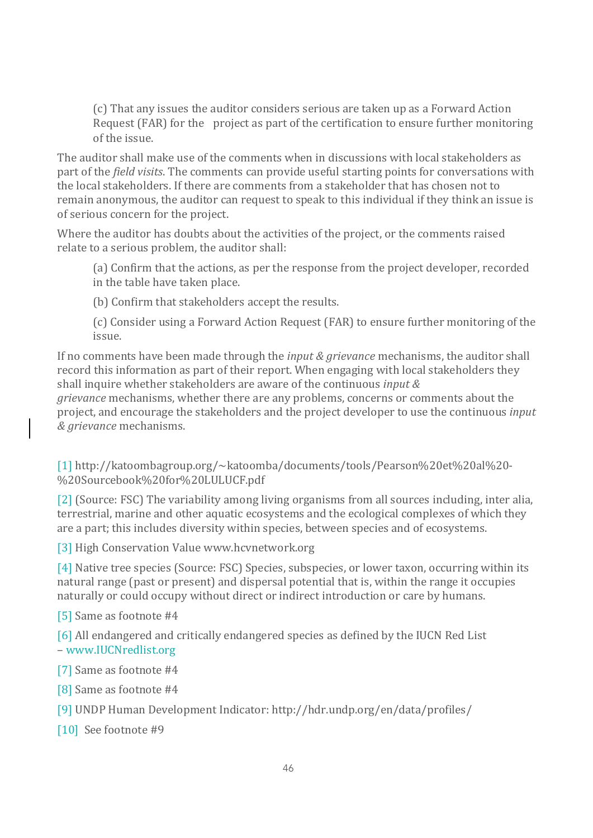(c) That any issues the auditor considers serious are taken up as a Forward Action Request (FAR) for the project as part of the certification to ensure further monitoring of the issue.

The auditor shall make use of the comments when in discussions with local stakeholders as part of the *field visits*. The comments can provide useful starting points for conversations with the local stakeholders. If there are comments from a stakeholder that has chosen not to remain anonymous, the auditor can request to speak to this individual if they think an issue is of serious concern for the project.

Where the auditor has doubts about the activities of the project, or the comments raised relate to a serious problem, the auditor shall:

(a) Confirm that the actions, as per the response from the project developer, recorded in the table have taken place.

(b) Confirm that stakeholders accept the results.

(c) Consider using a Forward Action Request (FAR) to ensure further monitoring of the issue.

If no comments have been made through the *input & grievance* mechanisms, the auditor shall record this information as part of their report. When engaging with local stakeholders they shall inquire whether stakeholders are aware of the continuous *input &* 

*grievance* mechanisms, whether there are any problems, concerns or comments about the project, and encourage the stakeholders and the project developer to use the continuous *input & grievance* mechanisms.

[1] http://katoombagroup.org/~katoomba/documents/tools/Pearson%20et%20al%20- %20Sourcebook%20for%20LULUCF.pdf

[2] (Source: FSC) The variability among living organisms from all sources including, inter alia, terrestrial, marine and other aquatic ecosystems and the ecological complexes of which they are a part; this includes diversity within species, between species and of ecosystems.

[3] High Conservation Value www.hcvnetwork.org

[4] Native tree species (Source: FSC) Species, subspecies, or lower taxon, occurring within its natural range (past or present) and dispersal potential that is, within the range it occupies naturally or could occupy without direct or indirect introduction or care by humans.

[5] Same as footnote #4

[6] All endangered and critically endangered species as defined by the IUCN Red List – www.IUCNredlist.org

[7] Same as footnote #4

[8] Same as footnote #4

[9] UNDP Human Development Indicator: http://hdr.undp.org/en/data/profiles/

[10] See footnote #9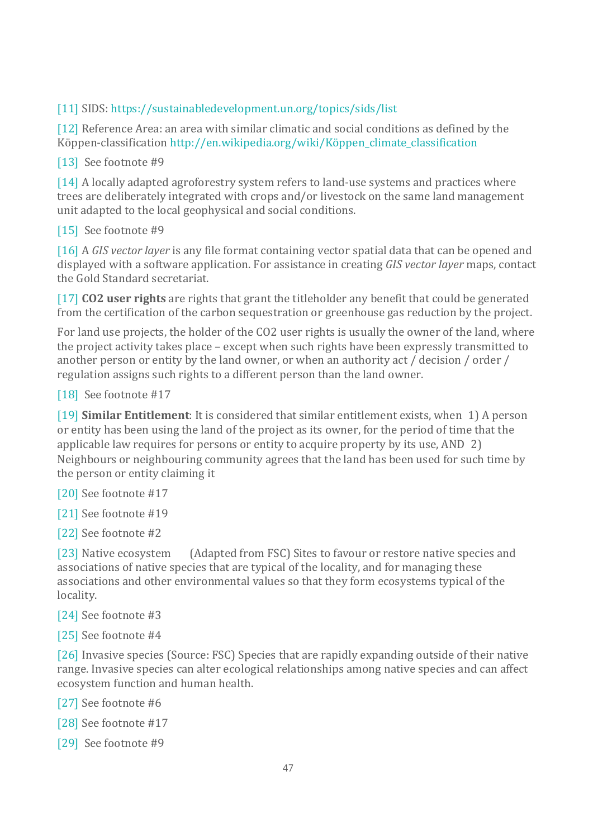## [11] SIDS: https://sustainabledevelopment.un.org/topics/sids/list

[12] Reference Area: an area with similar climatic and social conditions as defined by the Köppen-classification http://en.wikipedia.org/wiki/Köppen\_climate\_classification

### [13] See footnote #9

[14] A locally adapted agroforestry system refers to land-use systems and practices where trees are deliberately integrated with crops and/or livestock on the same land management unit adapted to the local geophysical and social conditions.

### [15] See footnote #9

[16] A *GIS* vector *layer* is any file format containing vector spatial data that can be opened and displayed with a software application. For assistance in creating *GIS vector layer* maps, contact the Gold Standard secretariat.

[17] **CO2** user rights are rights that grant the titleholder any benefit that could be generated from the certification of the carbon sequestration or greenhouse gas reduction by the project.

For land use projects, the holder of the CO2 user rights is usually the owner of the land, where the project activity takes place – except when such rights have been expressly transmitted to another person or entity by the land owner, or when an authority act / decision / order / regulation assigns such rights to a different person than the land owner.

#### [18] See footnote #17

[19] **Similar Entitlement**: It is considered that similar entitlement exists, when 1) A person or entity has been using the land of the project as its owner, for the period of time that the applicable law requires for persons or entity to acquire property by its use, AND  $2$ ) Neighbours or neighbouring community agrees that the land has been used for such time by the person or entity claiming it

[20] See footnote #17

[21] See footnote #19

[22] See footnote #2

[23] Native ecosystem (Adapted from FSC) Sites to favour or restore native species and associations of native species that are typical of the locality, and for managing these associations and other environmental values so that they form ecosystems typical of the locality.

[24] See footnote #3

[25] See footnote #4

[26] Invasive species (Source: FSC) Species that are rapidly expanding outside of their native range. Invasive species can alter ecological relationships among native species and can affect ecosystem function and human health.

[27] See footnote #6

[28] See footnote #17

[29] See footnote #9